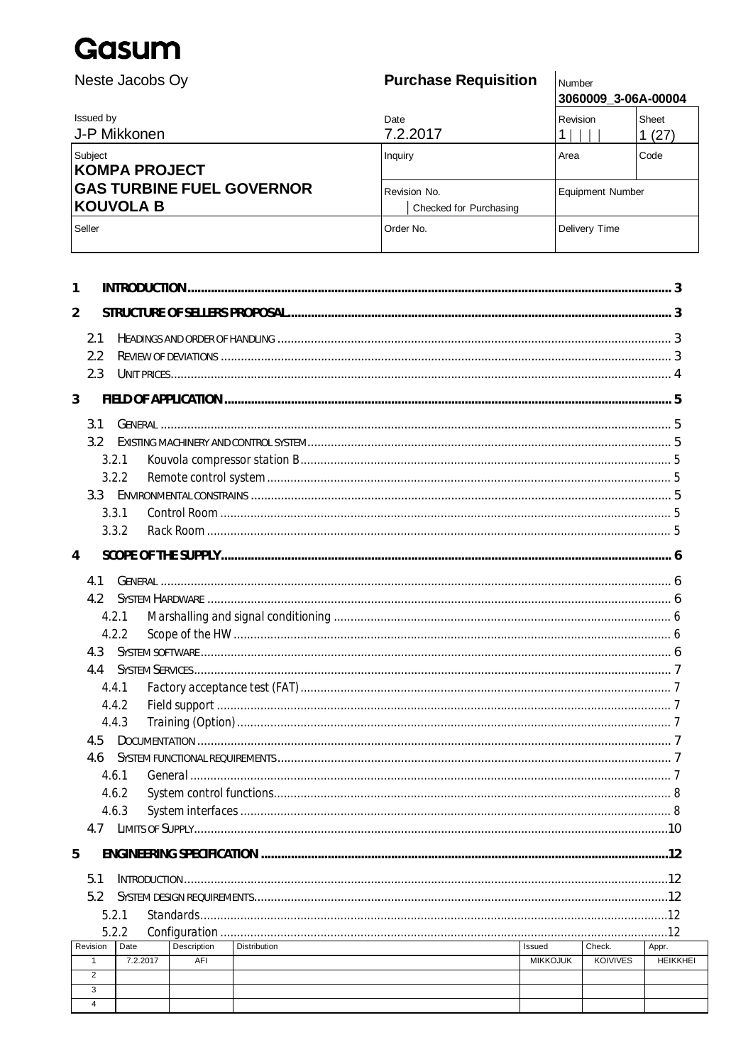Neste Jacobs Oy

## **Purchase Requisition**

Number 3060009 3-06A-00004

| Issued by<br>J-P Mikkonen                     | Date<br>7.2.2017                       | Revision                | Sheet<br>1(27) |
|-----------------------------------------------|----------------------------------------|-------------------------|----------------|
| Subject<br>KOMPA PROJECT                      | Inquiry                                | Area                    | Code           |
| <b>GAS TURBINE FUEL GOVERNOR</b><br>KOUVOLA B | Revision No.<br>Checked for Purchasing | <b>Equipment Number</b> |                |
| Seller                                        | Order No.                              | Delivery Time           |                |

| 1              |                   |          |             |                     |  |                 |                 |                 |
|----------------|-------------------|----------|-------------|---------------------|--|-----------------|-----------------|-----------------|
| $\overline{2}$ |                   |          |             |                     |  |                 |                 |                 |
|                |                   |          |             |                     |  |                 |                 |                 |
|                | 2.1<br>2.2        |          |             |                     |  |                 |                 |                 |
|                | 2.3               |          |             |                     |  |                 |                 |                 |
|                |                   |          |             |                     |  |                 |                 |                 |
| 3              |                   |          |             |                     |  |                 |                 |                 |
|                | 3.1               |          |             |                     |  |                 |                 |                 |
|                | 3.2 <sub>1</sub>  |          |             |                     |  |                 |                 |                 |
|                | 3.2.1             |          |             |                     |  |                 |                 |                 |
|                |                   | 3.2.2    |             |                     |  |                 |                 |                 |
|                | 3.3               |          |             |                     |  |                 |                 |                 |
|                | 3.3.1             |          |             |                     |  |                 |                 |                 |
|                |                   | 3.3.2    |             |                     |  |                 |                 |                 |
| $\overline{4}$ |                   |          |             |                     |  |                 |                 |                 |
|                |                   |          |             |                     |  |                 |                 |                 |
|                | 4.1               |          |             |                     |  |                 |                 |                 |
|                | 4.2               |          |             |                     |  |                 |                 |                 |
|                |                   | 4.2.1    |             |                     |  |                 |                 |                 |
|                |                   | 4.2.2    |             |                     |  |                 |                 |                 |
|                | 4.3               |          |             |                     |  |                 |                 |                 |
|                | 4.4               |          |             |                     |  |                 |                 |                 |
|                |                   | 4.4.1    |             |                     |  |                 |                 |                 |
|                |                   | 4.4.2    |             |                     |  |                 |                 |                 |
|                |                   | 4.4.3    |             |                     |  |                 |                 |                 |
|                | 4.5               |          |             |                     |  |                 |                 |                 |
|                | 4.6<br>4.6.1      |          |             |                     |  |                 |                 |                 |
|                |                   | 4.6.2    |             |                     |  |                 |                 |                 |
|                | 4.6.3             |          |             |                     |  |                 |                 |                 |
|                | 4.7               |          |             |                     |  |                 |                 |                 |
|                |                   |          |             |                     |  |                 |                 |                 |
| 5              |                   |          |             |                     |  |                 |                 |                 |
|                | 5.1               |          |             |                     |  |                 |                 |                 |
|                | 5.2               |          |             |                     |  |                 |                 |                 |
|                | 5.2.1             |          | Standards   |                     |  |                 |                 |                 |
|                |                   | 5.2.2    |             |                     |  |                 |                 |                 |
|                | Revision          | Date     | Description | <b>Distribution</b> |  | Issued          | Check.          | Appr.           |
|                | $\mathbf{1}$<br>2 | 7.2.2017 | AFI         |                     |  | <b>MIKKOJUK</b> | <b>KOIVIVES</b> | <b>HEIKKHEI</b> |
|                | 3                 |          |             |                     |  |                 |                 |                 |
|                | $\overline{4}$    |          |             |                     |  |                 |                 |                 |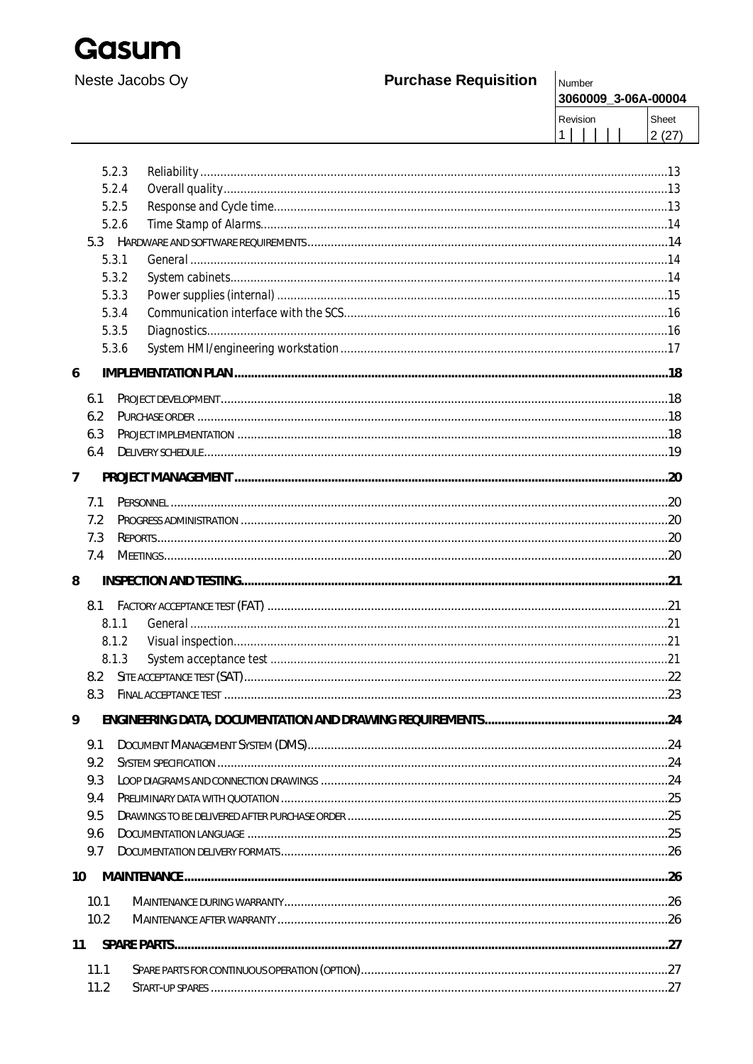

## **Purchase Requisition**

|<br>|Number<br>|**२**กุคภกดู 3-06A-00004

| - <b>DUUU-AGU-C CUUUUHI</b> |       |
|-----------------------------|-------|
| Revision                    | Sheet |
|                             | 2(27) |

|                | 5.2.3 |  |
|----------------|-------|--|
|                | 5.2.4 |  |
|                | 5.2.5 |  |
|                | 5.2.6 |  |
|                |       |  |
|                | 5.3.1 |  |
|                | 5.3.2 |  |
|                | 5.3.3 |  |
|                | 5.3.4 |  |
|                | 5.3.5 |  |
|                | 5.3.6 |  |
| 6              |       |  |
|                | 6.1   |  |
|                | 6.2   |  |
|                | 6.3   |  |
|                | 6.4   |  |
| $\overline{7}$ |       |  |
|                | 7.1   |  |
|                | 7.2   |  |
|                | 7.3   |  |
|                | 7.4   |  |
|                |       |  |
| 8              |       |  |
|                | 8.1   |  |
|                | 8.1.1 |  |
|                | 8.1.2 |  |
|                | 8.1.3 |  |
|                | 8.2   |  |
|                | 8.3   |  |
| 9              |       |  |
|                | 9.1   |  |
|                | 9.2   |  |
|                | 9.3   |  |
|                | 9.4   |  |
|                | 9.5   |  |
|                | 9.6   |  |
|                | 9.7   |  |
| 10             |       |  |
|                | 10.1  |  |
|                | 10.2  |  |
| 11             |       |  |
|                | 11.1  |  |
|                | 11.2  |  |
|                |       |  |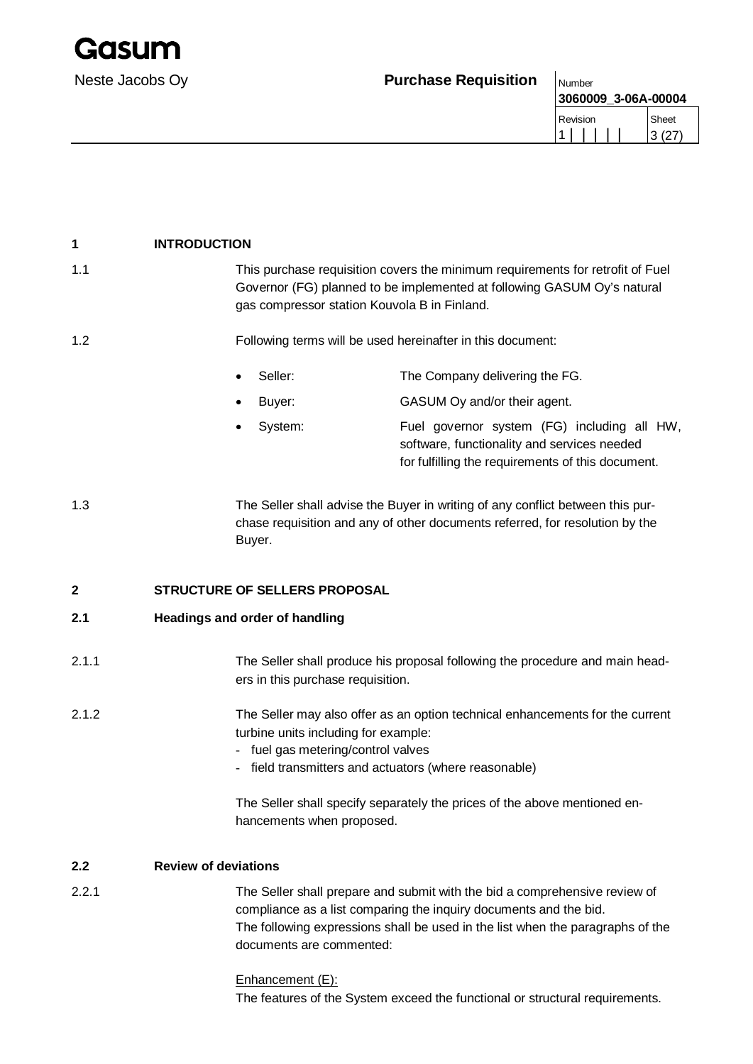## Neste Jacobs Oy **Purchase Requisition** Number

| <b>Number</b>       |           |
|---------------------|-----------|
| 3060009 3-06A-00004 |           |
| Revision            | Sheet     |
|                     | (27)<br>3 |

| 1     | <b>INTRODUCTION</b>                                                                                   |                                                                                                                                                                                                                                   |
|-------|-------------------------------------------------------------------------------------------------------|-----------------------------------------------------------------------------------------------------------------------------------------------------------------------------------------------------------------------------------|
| 1.1   | gas compressor station Kouvola B in Finland.                                                          | This purchase requisition covers the minimum requirements for retrofit of Fuel<br>Governor (FG) planned to be implemented at following GASUM Oy's natural                                                                         |
| 1.2   |                                                                                                       | Following terms will be used hereinafter in this document:                                                                                                                                                                        |
|       | Seller:                                                                                               | The Company delivering the FG.                                                                                                                                                                                                    |
|       | Buyer:<br>٠                                                                                           | GASUM Oy and/or their agent.                                                                                                                                                                                                      |
|       | System:<br>$\bullet$                                                                                  | Fuel governor system (FG) including all HW,<br>software, functionality and services needed<br>for fulfilling the requirements of this document.                                                                                   |
| 1.3   | Buyer.                                                                                                | The Seller shall advise the Buyer in writing of any conflict between this pur-<br>chase requisition and any of other documents referred, for resolution by the                                                                    |
| 2     | STRUCTURE OF SELLERS PROPOSAL                                                                         |                                                                                                                                                                                                                                   |
| 2.1   | <b>Headings and order of handling</b>                                                                 |                                                                                                                                                                                                                                   |
| 2.1.1 | ers in this purchase requisition.                                                                     | The Seller shall produce his proposal following the procedure and main head-                                                                                                                                                      |
| 2.1.2 | turbine units including for example:<br>fuel gas metering/control valves<br>hancements when proposed. | The Seller may also offer as an option technical enhancements for the current<br>field transmitters and actuators (where reasonable)<br>The Seller shall specify separately the prices of the above mentioned en-                 |
| 2.2   | <b>Review of deviations</b>                                                                           |                                                                                                                                                                                                                                   |
| 2.2.1 | documents are commented:                                                                              | The Seller shall prepare and submit with the bid a comprehensive review of<br>compliance as a list comparing the inquiry documents and the bid.<br>The following expressions shall be used in the list when the paragraphs of the |

Enhancement (E): The features of the System exceed the functional or structural requirements.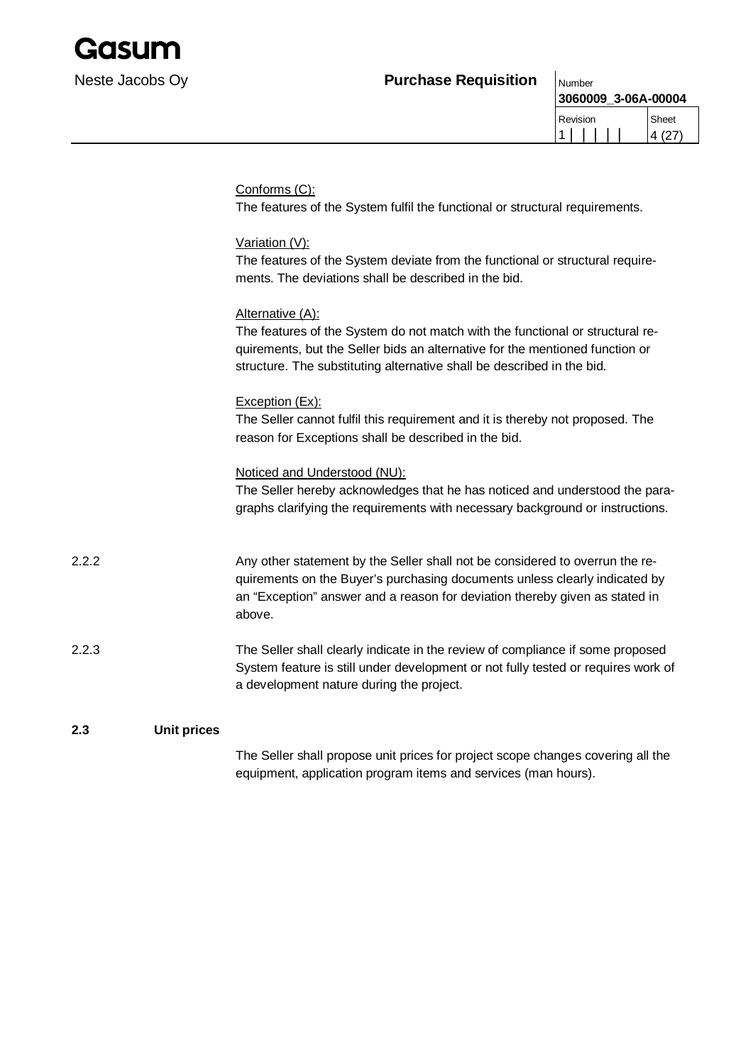

**3060009\_3-06A-00004**

| Revision | Sheet  |
|----------|--------|
|          | 4 (27) |

|       |                    | Conforms (C):<br>The features of the System fulfil the functional or structural requirements.                                                                                                                                                               |
|-------|--------------------|-------------------------------------------------------------------------------------------------------------------------------------------------------------------------------------------------------------------------------------------------------------|
|       |                    | Variation (V):<br>The features of the System deviate from the functional or structural require-<br>ments. The deviations shall be described in the bid.                                                                                                     |
|       |                    | Alternative (A):<br>The features of the System do not match with the functional or structural re-<br>quirements, but the Seller bids an alternative for the mentioned function or<br>structure. The substituting alternative shall be described in the bid. |
|       |                    | Exception (Ex):<br>The Seller cannot fulfil this requirement and it is thereby not proposed. The<br>reason for Exceptions shall be described in the bid.                                                                                                    |
|       |                    | Noticed and Understood (NU):<br>The Seller hereby acknowledges that he has noticed and understood the para-<br>graphs clarifying the requirements with necessary background or instructions.                                                                |
| 2.2.2 |                    | Any other statement by the Seller shall not be considered to overrun the re-<br>quirements on the Buyer's purchasing documents unless clearly indicated by<br>an "Exception" answer and a reason for deviation thereby given as stated in<br>above.         |
| 2.2.3 |                    | The Seller shall clearly indicate in the review of compliance if some proposed<br>System feature is still under development or not fully tested or requires work of<br>a development nature during the project.                                             |
| 2.3   | <b>Unit prices</b> |                                                                                                                                                                                                                                                             |

The Seller shall propose unit prices for project scope changes covering all the equipment, application program items and services (man hours).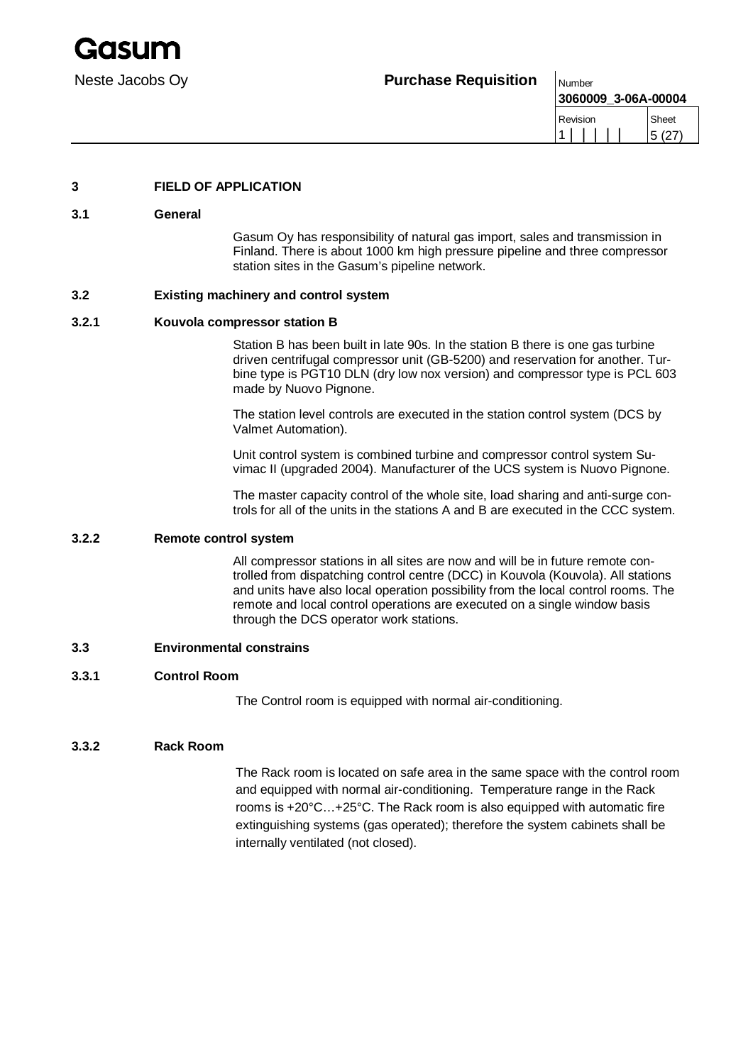**3060009\_3-06A-00004** Revision 1 | | | | | Sheet 5 (27)

### **3 FIELD OF APPLICATION**

#### **3.1 General**

Gasum Oy has responsibility of natural gas import, sales and transmission in Finland. There is about 1000 km high pressure pipeline and three compressor station sites in the Gasum's pipeline network.

#### **3.2 Existing machinery and control system**

#### **3.2.1 Kouvola compressor station B**

Station B has been built in late 90s. In the station B there is one gas turbine driven centrifugal compressor unit (GB-5200) and reservation for another. Turbine type is PGT10 DLN (dry low nox version) and compressor type is PCL 603 made by Nuovo Pignone.

The station level controls are executed in the station control system (DCS by Valmet Automation).

Unit control system is combined turbine and compressor control system Suvimac II (upgraded 2004). Manufacturer of the UCS system is Nuovo Pignone.

The master capacity control of the whole site, load sharing and anti-surge controls for all of the units in the stations A and B are executed in the CCC system.

## **3.2.2 Remote control system**

All compressor stations in all sites are now and will be in future remote controlled from dispatching control centre (DCC) in Kouvola (Kouvola). All stations and units have also local operation possibility from the local control rooms. The remote and local control operations are executed on a single window basis through the DCS operator work stations.

#### **3.3 Environmental constrains**

#### **3.3.1 Control Room**

The Control room is equipped with normal air-conditioning.

#### **3.3.2 Rack Room**

The Rack room is located on safe area in the same space with the control room and equipped with normal air-conditioning. Temperature range in the Rack rooms is +20°C…+25°C. The Rack room is also equipped with automatic fire extinguishing systems (gas operated); therefore the system cabinets shall be internally ventilated (not closed).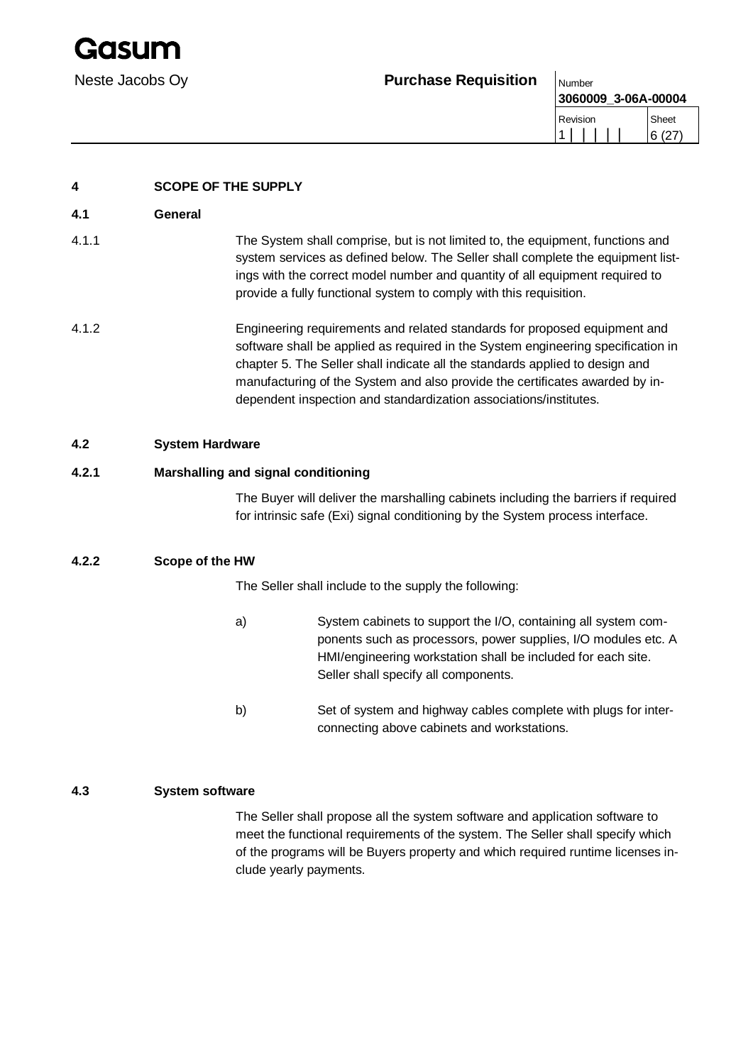Gasun

## Neste Jacobs Oy **Purchase Requisition**  $\big|_{\text{Number}}$

| 3060009 3-06A-00004 |       |
|---------------------|-------|
| Revision            | Sheet |
|                     | 6(27) |

| 4     | <b>SCOPE OF THE SUPPLY</b>                                                                                                                                                                                                                                                                                                                                                                         |  |
|-------|----------------------------------------------------------------------------------------------------------------------------------------------------------------------------------------------------------------------------------------------------------------------------------------------------------------------------------------------------------------------------------------------------|--|
| 4.1   | General                                                                                                                                                                                                                                                                                                                                                                                            |  |
| 4.1.1 | The System shall comprise, but is not limited to, the equipment, functions and<br>system services as defined below. The Seller shall complete the equipment list-<br>ings with the correct model number and quantity of all equipment required to<br>provide a fully functional system to comply with this requisition.                                                                            |  |
| 4.1.2 | Engineering requirements and related standards for proposed equipment and<br>software shall be applied as required in the System engineering specification in<br>chapter 5. The Seller shall indicate all the standards applied to design and<br>manufacturing of the System and also provide the certificates awarded by in-<br>dependent inspection and standardization associations/institutes. |  |
| 4.2   | <b>System Hardware</b>                                                                                                                                                                                                                                                                                                                                                                             |  |
| 4.2.1 | Marshalling and signal conditioning                                                                                                                                                                                                                                                                                                                                                                |  |

The Buyer will deliver the marshalling cabinets including the barriers if required for intrinsic safe (Exi) signal conditioning by the System process interface.

## **4.2.2 Scope of the HW**

The Seller shall include to the supply the following:

- a) System cabinets to support the I/O, containing all system components such as processors, power supplies, I/O modules etc. A HMI/engineering workstation shall be included for each site. Seller shall specify all components.
- b) Set of system and highway cables complete with plugs for interconnecting above cabinets and workstations.

## **4.3 System software**

The Seller shall propose all the system software and application software to meet the functional requirements of the system. The Seller shall specify which of the programs will be Buyers property and which required runtime licenses include yearly payments.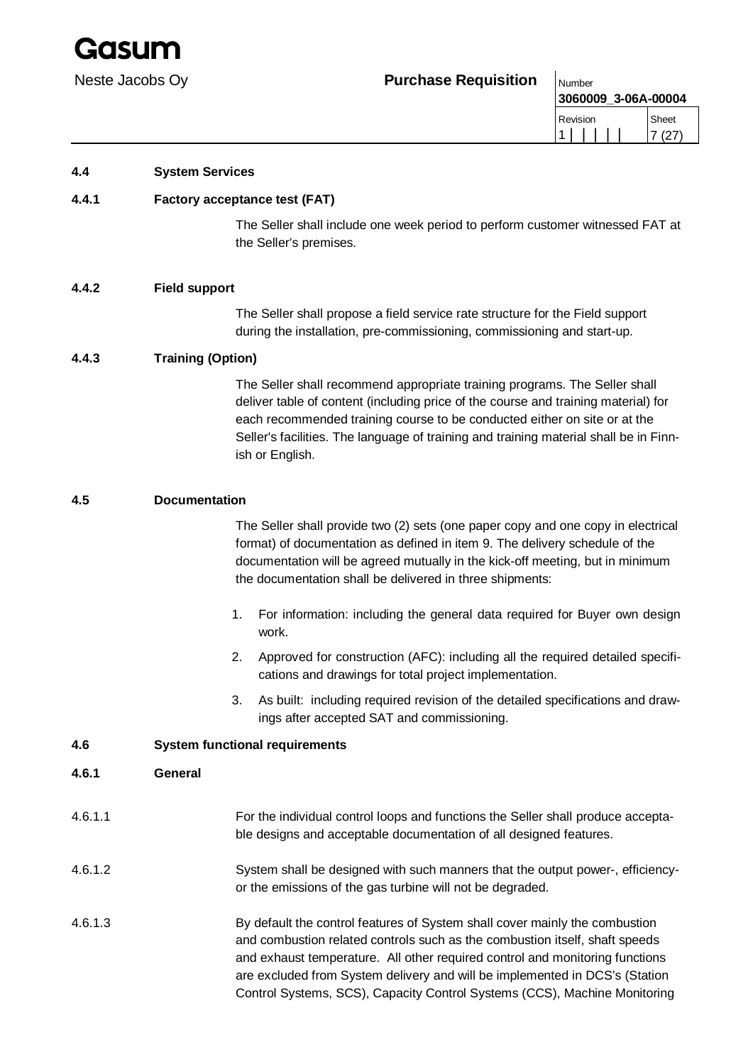

| .                   |       |
|---------------------|-------|
| 3060009 3-06A-00004 |       |
| Revision            | Sheet |
|                     | (27)  |

## **4.4 System Services**

## **4.4.1 Factory acceptance test (FAT)**

The Seller shall include one week period to perform customer witnessed FAT at the Seller's premises.

### **4.4.2 Field support**

The Seller shall propose a field service rate structure for the Field support during the installation, pre-commissioning, commissioning and start-up.

## **4.4.3 Training (Option)**

The Seller shall recommend appropriate training programs. The Seller shall deliver table of content (including price of the course and training material) for each recommended training course to be conducted either on site or at the Seller's facilities. The language of training and training material shall be in Finnish or English.

### **4.5 Documentation**

The Seller shall provide two (2) sets (one paper copy and one copy in electrical format) of documentation as defined in item 9. The delivery schedule of the documentation will be agreed mutually in the kick-off meeting, but in minimum the documentation shall be delivered in three shipments:

- 1. For information: including the general data required for Buyer own design work.
- 2. Approved for construction (AFC): including all the required detailed specifications and drawings for total project implementation.
- 3. As built: including required revision of the detailed specifications and drawings after accepted SAT and commissioning.

### **4.6 System functional requirements**

### **4.6.1 General**

- 4.6.1.1 For the individual control loops and functions the Seller shall produce acceptable designs and acceptable documentation of all designed features.
- 4.6.1.2 System shall be designed with such manners that the output power-, efficiencyor the emissions of the gas turbine will not be degraded.
- 4.6.1.3 By default the control features of System shall cover mainly the combustion and combustion related controls such as the combustion itself, shaft speeds and exhaust temperature. All other required control and monitoring functions are excluded from System delivery and will be implemented in DCS's (Station Control Systems, SCS), Capacity Control Systems (CCS), Machine Monitoring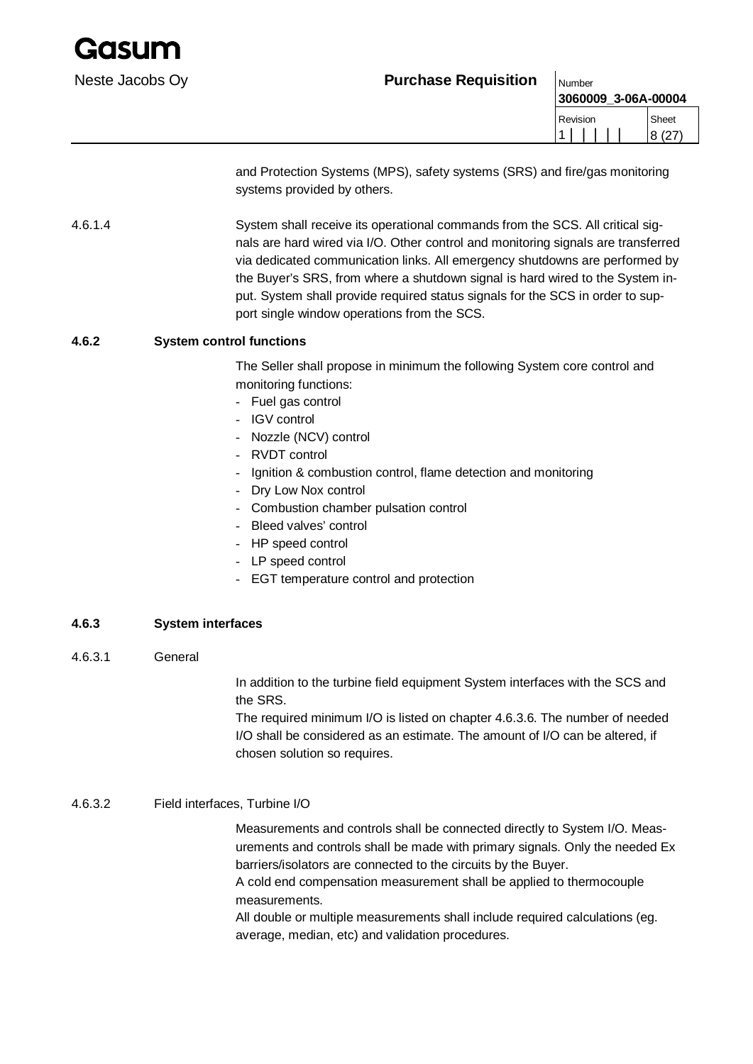

**3060009\_3-06A-00004** Revision 1 | | | | | Sheet 8 (27)

and Protection Systems (MPS), safety systems (SRS) and fire/gas monitoring systems provided by others.

4.6.1.4 System shall receive its operational commands from the SCS. All critical signals are hard wired via I/O. Other control and monitoring signals are transferred via dedicated communication links. All emergency shutdowns are performed by the Buyer's SRS, from where a shutdown signal is hard wired to the System input. System shall provide required status signals for the SCS in order to support single window operations from the SCS.

## **4.6.2 System control functions**

The Seller shall propose in minimum the following System core control and monitoring functions:

- Fuel gas control
- IGV control
- Nozzle (NCV) control
- RVDT control
- Ignition & combustion control, flame detection and monitoring
- Dry Low Nox control
- Combustion chamber pulsation control
- Bleed valves' control
- HP speed control
- LP speed control
- EGT temperature control and protection

### **4.6.3 System interfaces**

4.6.3.1 General

In addition to the turbine field equipment System interfaces with the SCS and the SRS.

The required minimum I/O is listed on chapter 4.6.3.6. The number of needed I/O shall be considered as an estimate. The amount of I/O can be altered, if chosen solution so requires.

### 4.6.3.2 Field interfaces, Turbine I/O

Measurements and controls shall be connected directly to System I/O. Measurements and controls shall be made with primary signals. Only the needed Ex barriers/isolators are connected to the circuits by the Buyer.

A cold end compensation measurement shall be applied to thermocouple measurements.

All double or multiple measurements shall include required calculations (eg. average, median, etc) and validation procedures.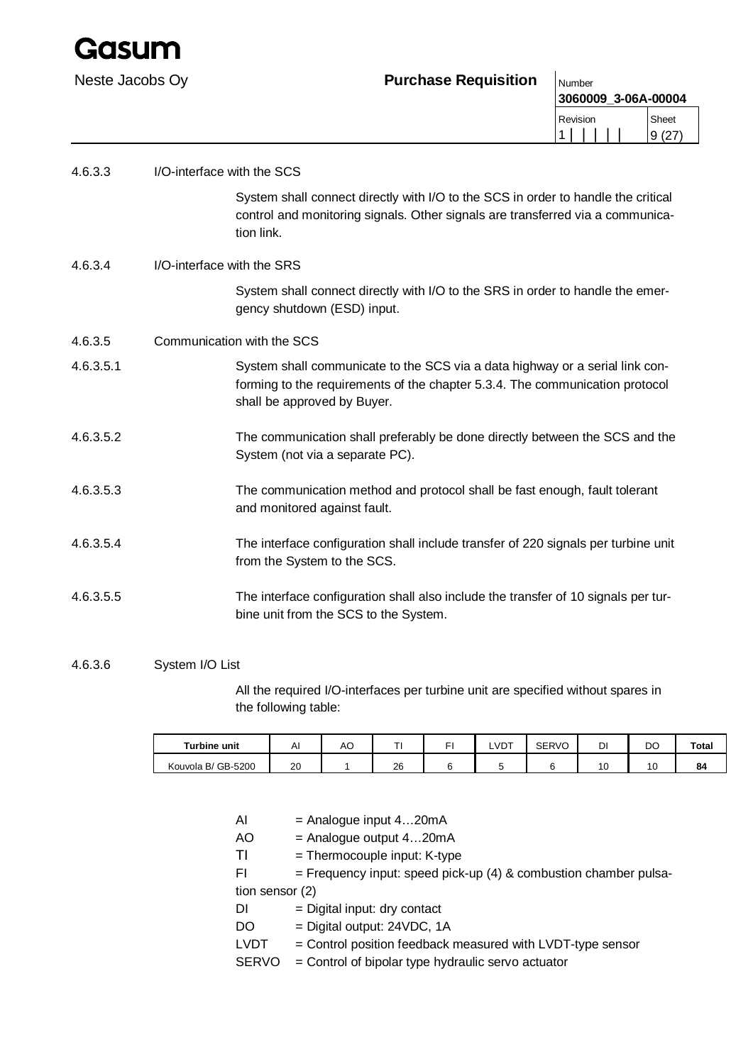

| Neste Jacobs Oy | <b>Purchase Requisition</b> | Number |
|-----------------|-----------------------------|--------|
|-----------------|-----------------------------|--------|

| 3060009 3-06A-00004 |       |
|---------------------|-------|
| Revision            | Sheet |
|                     |       |

| 4.6.3.3   | I/O-interface with the SCS                                                                                                                                                                  |
|-----------|---------------------------------------------------------------------------------------------------------------------------------------------------------------------------------------------|
|           | System shall connect directly with I/O to the SCS in order to handle the critical<br>control and monitoring signals. Other signals are transferred via a communica-<br>tion link.           |
| 4.6.3.4   | I/O-interface with the SRS                                                                                                                                                                  |
|           | System shall connect directly with I/O to the SRS in order to handle the emer-<br>gency shutdown (ESD) input.                                                                               |
| 4.6.3.5   | Communication with the SCS                                                                                                                                                                  |
| 4.6.3.5.1 | System shall communicate to the SCS via a data highway or a serial link con-<br>forming to the requirements of the chapter 5.3.4. The communication protocol<br>shall be approved by Buyer. |
| 4.6.3.5.2 | The communication shall preferably be done directly between the SCS and the<br>System (not via a separate PC).                                                                              |
| 4.6.3.5.3 | The communication method and protocol shall be fast enough, fault tolerant<br>and monitored against fault.                                                                                  |
| 4.6.3.5.4 | The interface configuration shall include transfer of 220 signals per turbine unit<br>from the System to the SCS.                                                                           |
| 4.6.3.5.5 | The interface configuration shall also include the transfer of 10 signals per tur-<br>bine unit from the SCS to the System.                                                                 |

## 4.6.3.6 System I/O List

All the required I/O-interfaces per turbine unit are specified without spares in the following table:

| <b>Turbine unit</b> | AI | ╭<br>AC. |    | <b>_VDT</b> | <b>SERVO</b> | DI | DO | Total |
|---------------------|----|----------|----|-------------|--------------|----|----|-------|
| Kouvola B/ GB-5200  | 20 |          | 26 |             |              |    | x  | 84    |

- AI = Analogue input 4...20mA
- AO = Analogue output 4...20mA
- $TI = Thermocouple input: K-type$
- FI  $=$  Frequency input: speed pick-up (4) & combustion chamber pulsation sensor (2)
- DI = Digital input: dry contact
- DO = Digital output: 24VDC, 1A
- LVDT = Control position feedback measured with LVDT-type sensor
- SERVO = Control of bipolar type hydraulic servo actuator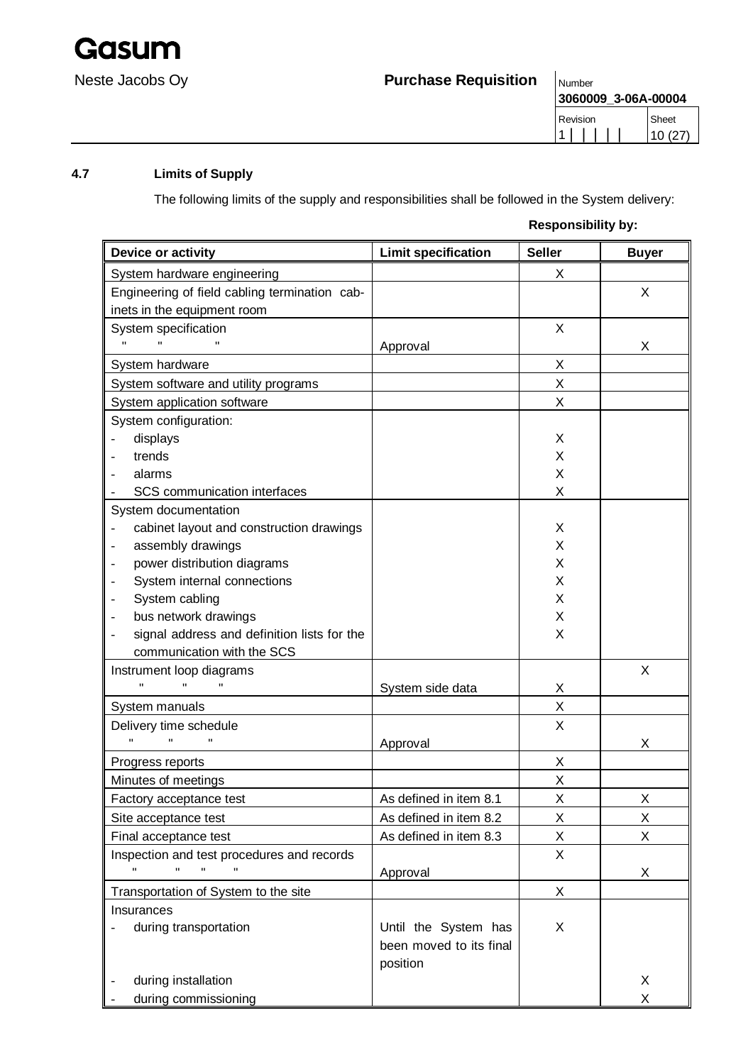

**3060009\_3-06A-00004**

## **4.7 Limits of Supply**

The following limits of the supply and responsibilities shall be followed in the System delivery:

## **Responsibility by:**

Revision

| Device or activity                            | <b>Limit specification</b> | <b>Seller</b> | <b>Buyer</b> |
|-----------------------------------------------|----------------------------|---------------|--------------|
| System hardware engineering                   |                            | X             |              |
| Engineering of field cabling termination cab- |                            |               | X            |
| inets in the equipment room                   |                            |               |              |
| System specification                          |                            | X             |              |
| $\mathbf{H}$<br>$\mathbf{H}$                  | Approval                   |               | X            |
| System hardware                               |                            | X.            |              |
| System software and utility programs          |                            | Χ             |              |
| System application software                   |                            | X             |              |
| System configuration:                         |                            |               |              |
| displays                                      |                            | X             |              |
| trends                                        |                            | X             |              |
| alarms                                        |                            | X             |              |
| SCS communication interfaces                  |                            | Χ             |              |
| System documentation                          |                            |               |              |
| cabinet layout and construction drawings      |                            | X             |              |
| assembly drawings                             |                            | X             |              |
| power distribution diagrams                   |                            | X             |              |
| System internal connections                   |                            | X             |              |
| System cabling                                |                            | X             |              |
| bus network drawings                          |                            | X             |              |
| signal address and definition lists for the   |                            | X             |              |
| communication with the SCS                    |                            |               |              |
| Instrument loop diagrams                      |                            |               | X            |
| $\mathbf{u}$                                  | System side data           | X             |              |
| System manuals                                |                            | X             |              |
| Delivery time schedule                        |                            | X             |              |
| $\mathbf{H}$                                  | Approval                   |               | X            |
| Progress reports                              |                            | X             |              |
| Minutes of meetings                           |                            | Χ             |              |
| Factory acceptance test                       | As defined in item 8.1     | Χ             | X            |
| Site acceptance test                          | As defined in item 8.2     | X             | X            |
| Final acceptance test                         | As defined in item 8.3     | Χ             | X            |
| Inspection and test procedures and records    |                            | X             |              |
|                                               | Approval                   |               | X            |
| Transportation of System to the site          |                            | X             |              |
| Insurances                                    |                            |               |              |
| during transportation                         | Until the System has       | X             |              |
|                                               | been moved to its final    |               |              |
|                                               | position                   |               |              |
| during installation                           |                            |               | X            |
| during commissioning                          |                            |               | X            |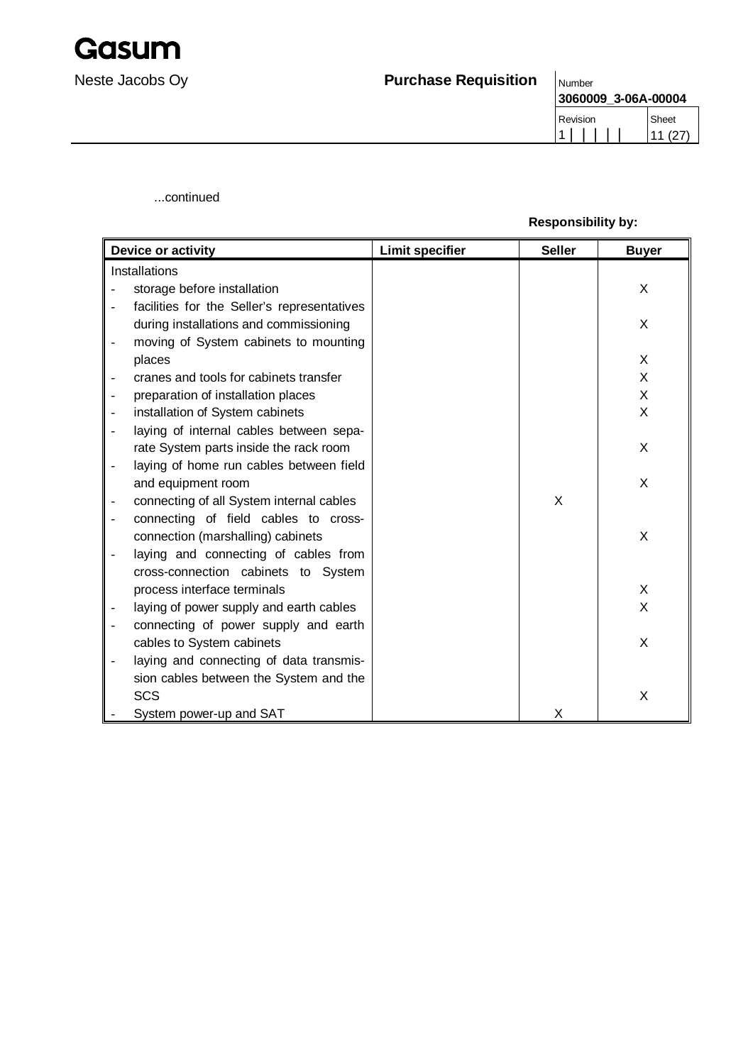

| 3060009 3-06A-00004 |        |  |  |  |  |
|---------------------|--------|--|--|--|--|
| Revision            | Sheet  |  |  |  |  |
|                     | 11(27) |  |  |  |  |

...continued

## **Responsibility by:**

| Device or activity                          | <b>Limit specifier</b> | <b>Seller</b> | <b>Buyer</b> |
|---------------------------------------------|------------------------|---------------|--------------|
| Installations                               |                        |               |              |
| storage before installation                 |                        |               | X            |
| facilities for the Seller's representatives |                        |               |              |
| during installations and commissioning      |                        |               | X            |
| moving of System cabinets to mounting       |                        |               |              |
| places                                      |                        |               | X            |
| cranes and tools for cabinets transfer      |                        |               | X            |
| preparation of installation places          |                        |               | X            |
| installation of System cabinets             |                        |               | $\mathsf{X}$ |
| laying of internal cables between sepa-     |                        |               |              |
| rate System parts inside the rack room      |                        |               | X            |
| laying of home run cables between field     |                        |               |              |
| and equipment room                          |                        |               | X            |
| connecting of all System internal cables    |                        | X             |              |
| connecting of field cables to cross-        |                        |               |              |
| connection (marshalling) cabinets           |                        |               | X            |
| laying and connecting of cables from        |                        |               |              |
| cross-connection cabinets to System         |                        |               |              |
| process interface terminals                 |                        |               | X            |
| laying of power supply and earth cables     |                        |               | $\mathsf{X}$ |
| connecting of power supply and earth        |                        |               |              |
| cables to System cabinets                   |                        |               | X            |
| laying and connecting of data transmis-     |                        |               |              |
| sion cables between the System and the      |                        |               |              |
| <b>SCS</b>                                  |                        |               | X            |
| System power-up and SAT                     |                        | X             |              |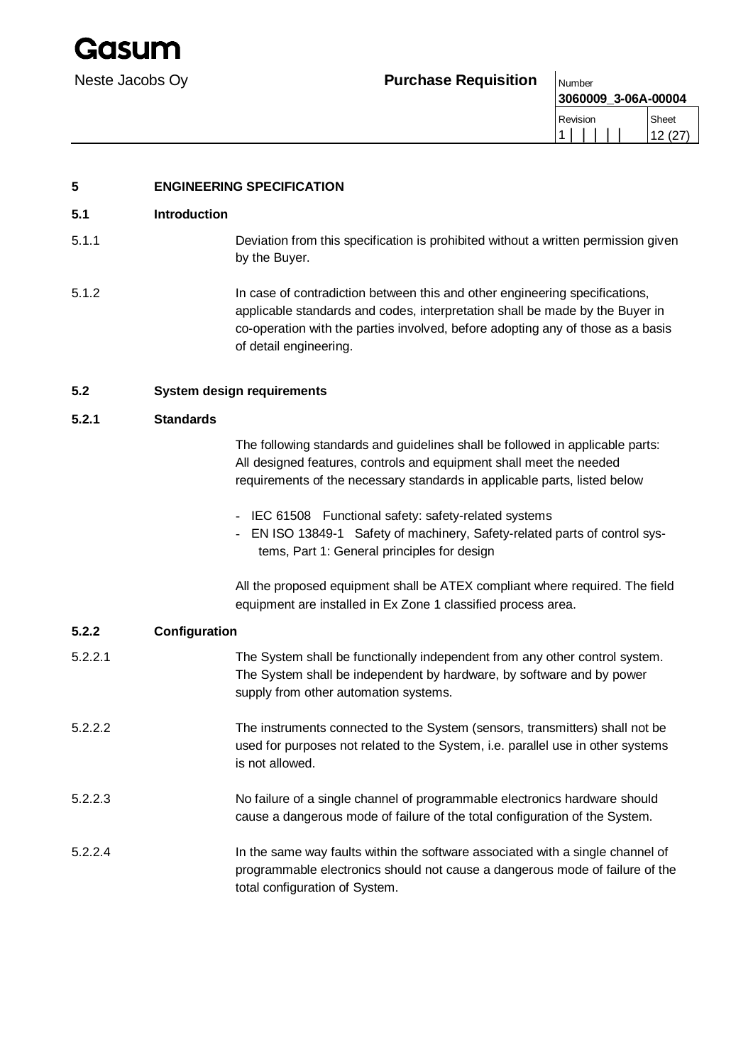## Neste Jacobs Oy **Purchase Requisition**  $\big|_{\text{Number}}$

| 3060009_3-06A-00004 |        |
|---------------------|--------|
| Revision            | Sheet  |
|                     | 12(27) |

## **5 ENGINEERING SPECIFICATION**

## **5.1 Introduction**

- 5.1.1 Deviation from this specification is prohibited without a written permission given by the Buyer.
- 5.1.2 In case of contradiction between this and other engineering specifications, applicable standards and codes, interpretation shall be made by the Buyer in co-operation with the parties involved, before adopting any of those as a basis of detail engineering.

## **5.2 System design requirements**

## **5.2.1 Standards**

The following standards and guidelines shall be followed in applicable parts: All designed features, controls and equipment shall meet the needed requirements of the necessary standards in applicable parts, listed below

- IEC 61508 Functional safety: safety-related systems
- EN ISO 13849-1 Safety of machinery, Safety-related parts of control systems, Part 1: General principles for design

All the proposed equipment shall be ATEX compliant where required. The field equipment are installed in Ex Zone 1 classified process area.

### **5.2.2 Configuration**

| 5.2.2.1 | The System shall be functionally independent from any other control system.<br>The System shall be independent by hardware, by software and by power<br>supply from other automation systems.    |
|---------|--------------------------------------------------------------------------------------------------------------------------------------------------------------------------------------------------|
| 5.2.2.2 | The instruments connected to the System (sensors, transmitters) shall not be<br>used for purposes not related to the System, i.e. parallel use in other systems<br>is not allowed.               |
| 5.2.2.3 | No failure of a single channel of programmable electronics hardware should<br>cause a dangerous mode of failure of the total configuration of the System.                                        |
| 5.2.2.4 | In the same way faults within the software associated with a single channel of<br>programmable electronics should not cause a dangerous mode of failure of the<br>total configuration of System. |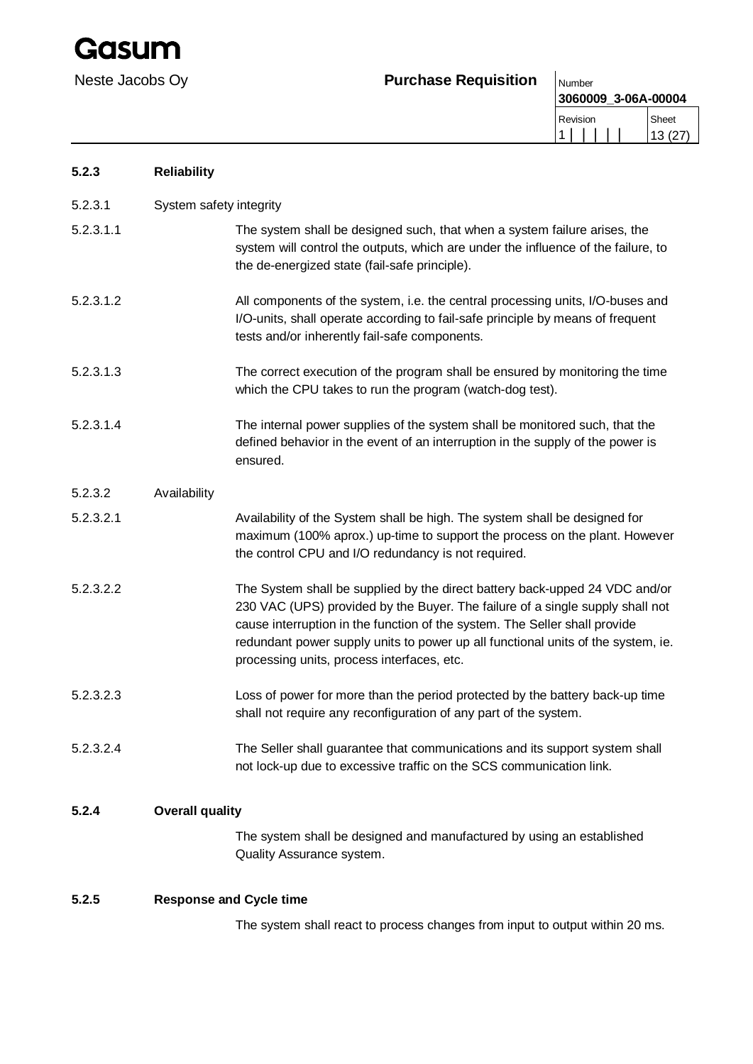## Neste Jacobs Oy **Purchase Requisition** Number

**3060009\_3-06A-00004** Re<sup>v</sup>

| Revision | heet    |
|----------|---------|
|          | 13 (27) |

| 5.2.3     | <b>Reliability</b>      |                                                                                                                                                                                                                                                                                                                                                                              |
|-----------|-------------------------|------------------------------------------------------------------------------------------------------------------------------------------------------------------------------------------------------------------------------------------------------------------------------------------------------------------------------------------------------------------------------|
| 5.2.3.1   | System safety integrity |                                                                                                                                                                                                                                                                                                                                                                              |
| 5.2.3.1.1 |                         | The system shall be designed such, that when a system failure arises, the<br>system will control the outputs, which are under the influence of the failure, to<br>the de-energized state (fail-safe principle).                                                                                                                                                              |
| 5.2.3.1.2 |                         | All components of the system, i.e. the central processing units, I/O-buses and<br>I/O-units, shall operate according to fail-safe principle by means of frequent<br>tests and/or inherently fail-safe components.                                                                                                                                                            |
| 5.2.3.1.3 |                         | The correct execution of the program shall be ensured by monitoring the time<br>which the CPU takes to run the program (watch-dog test).                                                                                                                                                                                                                                     |
| 5.2.3.1.4 |                         | The internal power supplies of the system shall be monitored such, that the<br>defined behavior in the event of an interruption in the supply of the power is<br>ensured.                                                                                                                                                                                                    |
| 5.2.3.2   | Availability            |                                                                                                                                                                                                                                                                                                                                                                              |
| 5.2.3.2.1 |                         | Availability of the System shall be high. The system shall be designed for<br>maximum (100% aprox.) up-time to support the process on the plant. However<br>the control CPU and I/O redundancy is not required.                                                                                                                                                              |
| 5.2.3.2.2 |                         | The System shall be supplied by the direct battery back-upped 24 VDC and/or<br>230 VAC (UPS) provided by the Buyer. The failure of a single supply shall not<br>cause interruption in the function of the system. The Seller shall provide<br>redundant power supply units to power up all functional units of the system, ie.<br>processing units, process interfaces, etc. |
| 5.2.3.2.3 |                         | Loss of power for more than the period protected by the battery back-up time<br>shall not require any reconfiguration of any part of the system.                                                                                                                                                                                                                             |
| 5.2.3.2.4 |                         | The Seller shall guarantee that communications and its support system shall<br>not lock-up due to excessive traffic on the SCS communication link.                                                                                                                                                                                                                           |
| 5.2.4     | <b>Overall quality</b>  |                                                                                                                                                                                                                                                                                                                                                                              |
|           |                         | The system shall be designed and manufactured by using an established<br>Quality Assurance system.                                                                                                                                                                                                                                                                           |
| 5.2.5     |                         | <b>Response and Cycle time</b>                                                                                                                                                                                                                                                                                                                                               |
|           |                         | The system shall react to process changes from input to output within 20 ms.                                                                                                                                                                                                                                                                                                 |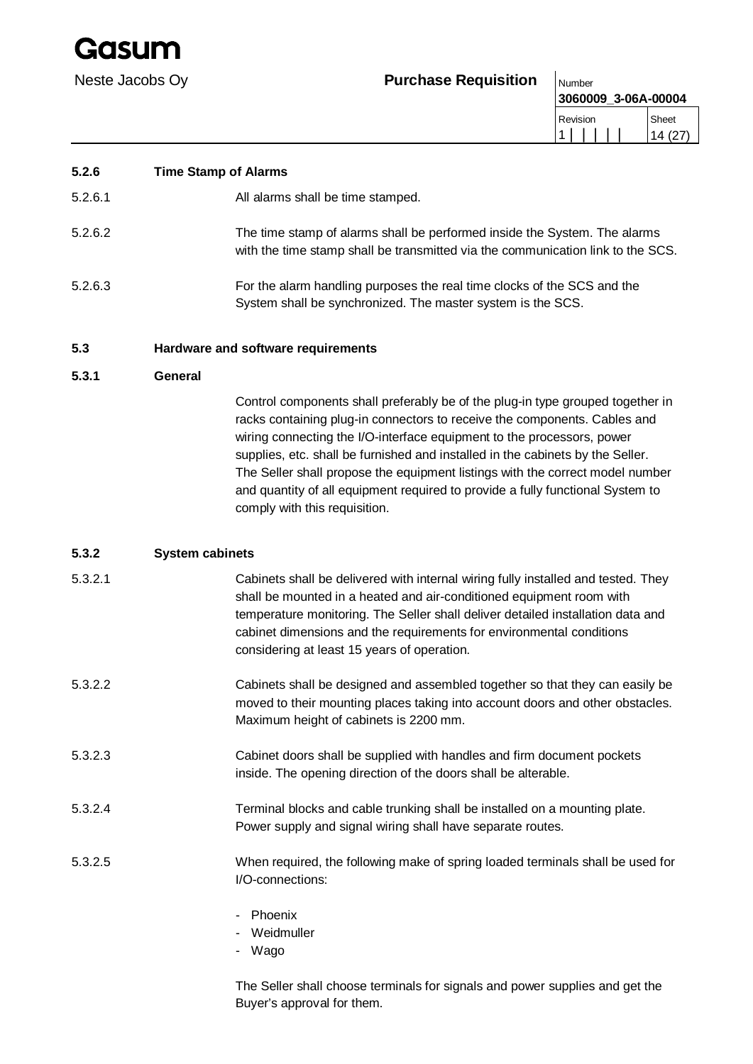iasun

## Neste Jacobs Oy **Purchase Requisition** Number

**3060009\_3-06A-00004** Revision 1 | | | | | Sheet 14 (27)

## **5.2.6 Time Stamp of Alarms**

5.2.6.1 All alarms shall be time stamped.

- 5.2.6.2 The time stamp of alarms shall be performed inside the System. The alarms with the time stamp shall be transmitted via the communication link to the SCS.
- 5.2.6.3 For the alarm handling purposes the real time clocks of the SCS and the System shall be synchronized. The master system is the SCS.

### **5.3 Hardware and software requirements**

## **5.3.1 General**

Control components shall preferably be of the plug-in type grouped together in racks containing plug-in connectors to receive the components. Cables and wiring connecting the I/O-interface equipment to the processors, power supplies, etc. shall be furnished and installed in the cabinets by the Seller. The Seller shall propose the equipment listings with the correct model number and quantity of all equipment required to provide a fully functional System to comply with this requisition.

## **5.3.2 System cabinets**

| 5.3.2.1 | Cabinets shall be delivered with internal wiring fully installed and tested. They |
|---------|-----------------------------------------------------------------------------------|
|         | shall be mounted in a heated and air-conditioned equipment room with              |
|         | temperature monitoring. The Seller shall deliver detailed installation data and   |
|         | cabinet dimensions and the requirements for environmental conditions              |
|         | considering at least 15 years of operation.                                       |

- 5.3.2.2 Cabinets shall be designed and assembled together so that they can easily be moved to their mounting places taking into account doors and other obstacles. Maximum height of cabinets is 2200 mm.
- 5.3.2.3 Cabinet doors shall be supplied with handles and firm document pockets inside. The opening direction of the doors shall be alterable.
- 5.3.2.4 Terminal blocks and cable trunking shall be installed on a mounting plate. Power supply and signal wiring shall have separate routes.
- 5.3.2.5 When required, the following make of spring loaded terminals shall be used for I/O-connections:
	- Phoenix
	- Weidmuller
	- Wago

The Seller shall choose terminals for signals and power supplies and get the Buyer's approval for them.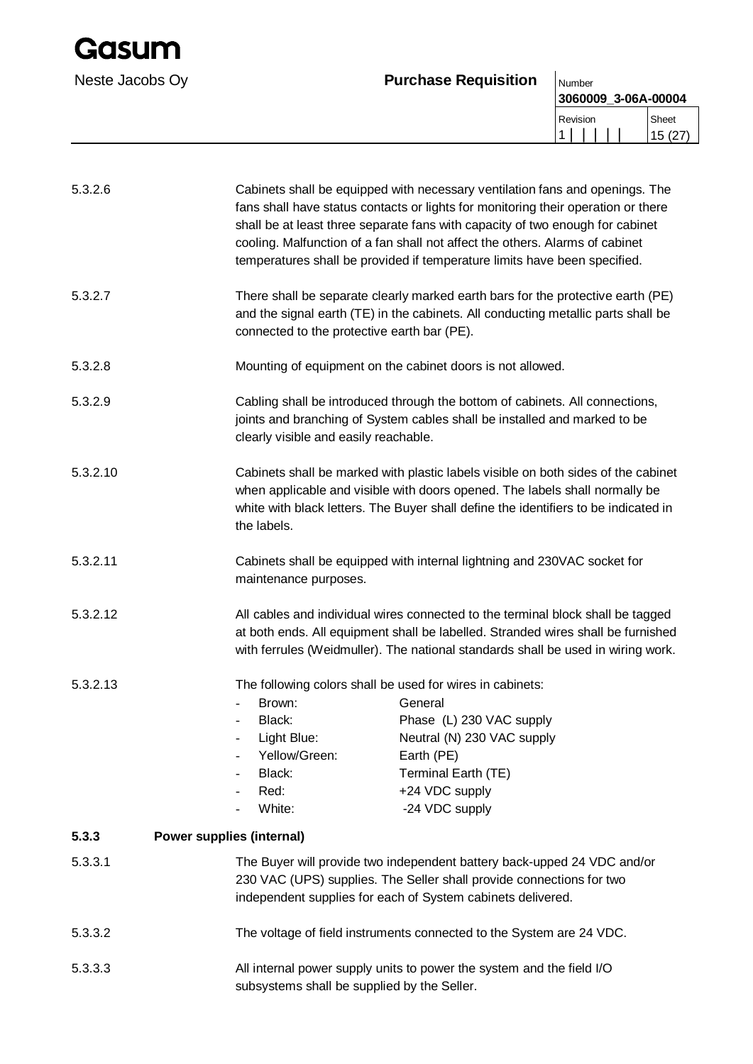## Neste Jacobs Oy **Purchase Requisition** Number

| 3060009_3-06A-00004 |                                  |
|---------------------|----------------------------------|
| Sheet<br>15 (27     | Revision<br>$\blacktriangleleft$ |
|                     |                                  |

| 5.3.2.6  |                                                                                                                                                                                                                                                                        | Cabinets shall be equipped with necessary ventilation fans and openings. The<br>fans shall have status contacts or lights for monitoring their operation or there<br>shall be at least three separate fans with capacity of two enough for cabinet<br>cooling. Malfunction of a fan shall not affect the others. Alarms of cabinet<br>temperatures shall be provided if temperature limits have been specified. |  |
|----------|------------------------------------------------------------------------------------------------------------------------------------------------------------------------------------------------------------------------------------------------------------------------|-----------------------------------------------------------------------------------------------------------------------------------------------------------------------------------------------------------------------------------------------------------------------------------------------------------------------------------------------------------------------------------------------------------------|--|
| 5.3.2.7  | There shall be separate clearly marked earth bars for the protective earth (PE)<br>and the signal earth (TE) in the cabinets. All conducting metallic parts shall be<br>connected to the protective earth bar (PE).                                                    |                                                                                                                                                                                                                                                                                                                                                                                                                 |  |
| 5.3.2.8  |                                                                                                                                                                                                                                                                        | Mounting of equipment on the cabinet doors is not allowed.                                                                                                                                                                                                                                                                                                                                                      |  |
| 5.3.2.9  | Cabling shall be introduced through the bottom of cabinets. All connections,<br>joints and branching of System cables shall be installed and marked to be<br>clearly visible and easily reachable.                                                                     |                                                                                                                                                                                                                                                                                                                                                                                                                 |  |
| 5.3.2.10 | Cabinets shall be marked with plastic labels visible on both sides of the cabinet<br>when applicable and visible with doors opened. The labels shall normally be<br>white with black letters. The Buyer shall define the identifiers to be indicated in<br>the labels. |                                                                                                                                                                                                                                                                                                                                                                                                                 |  |
| 5.3.2.11 | Cabinets shall be equipped with internal lightning and 230VAC socket for<br>maintenance purposes.                                                                                                                                                                      |                                                                                                                                                                                                                                                                                                                                                                                                                 |  |
| 5.3.2.12 | All cables and individual wires connected to the terminal block shall be tagged<br>at both ends. All equipment shall be labelled. Stranded wires shall be furnished<br>with ferrules (Weidmuller). The national standards shall be used in wiring work.                |                                                                                                                                                                                                                                                                                                                                                                                                                 |  |
| 5.3.2.13 | Brown:<br>Black:<br>Light Blue:<br>Yellow/Green:<br>Black:<br>Red:<br>White:                                                                                                                                                                                           | The following colors shall be used for wires in cabinets:<br>General<br>Phase (L) 230 VAC supply<br>Neutral (N) 230 VAC supply<br>Earth (PE)<br>Terminal Earth (TE)<br>+24 VDC supply<br>-24 VDC supply                                                                                                                                                                                                         |  |
| 5.3.3    | Power supplies (internal)                                                                                                                                                                                                                                              |                                                                                                                                                                                                                                                                                                                                                                                                                 |  |
| 5.3.3.1  |                                                                                                                                                                                                                                                                        | The Buyer will provide two independent battery back-upped 24 VDC and/or<br>230 VAC (UPS) supplies. The Seller shall provide connections for two<br>independent supplies for each of System cabinets delivered.                                                                                                                                                                                                  |  |
| 5.3.3.2  |                                                                                                                                                                                                                                                                        | The voltage of field instruments connected to the System are 24 VDC.                                                                                                                                                                                                                                                                                                                                            |  |
| 5.3.3.3  | All internal power supply units to power the system and the field I/O<br>subsystems shall be supplied by the Seller.                                                                                                                                                   |                                                                                                                                                                                                                                                                                                                                                                                                                 |  |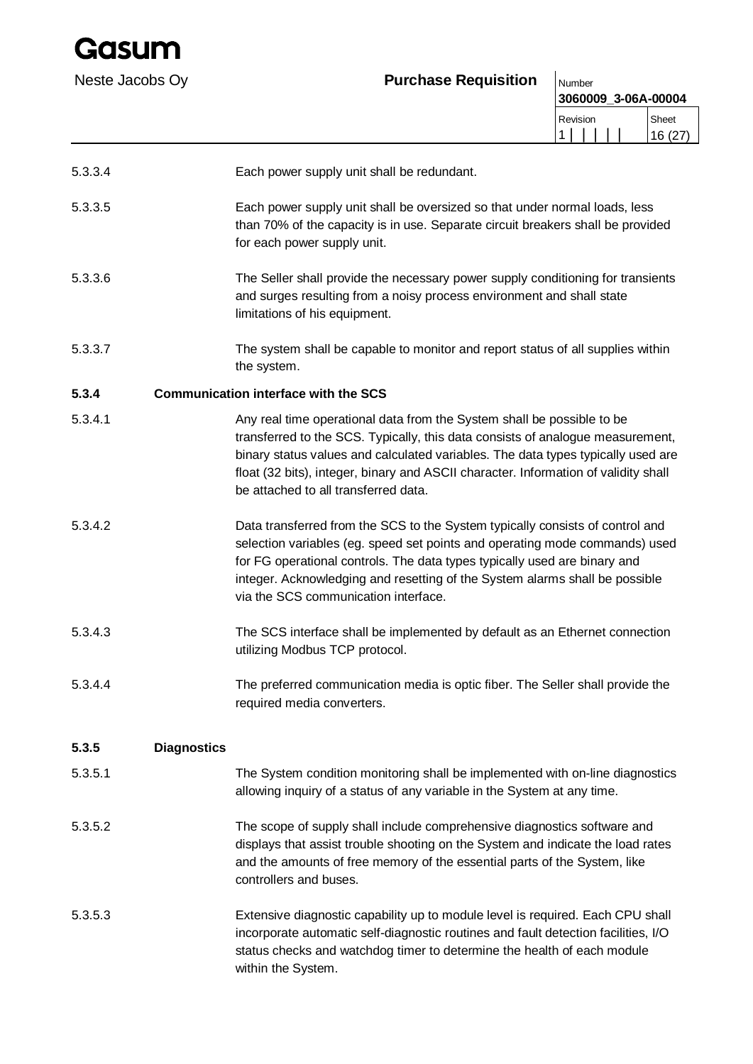iadun

## Neste Jacobs Ov **Purchase Requisition**  $\big|_{\text{Number}}$

| .<br>3060009_3-06A-00004 |        |
|--------------------------|--------|
| Revision                 | Sheet  |
|                          | 16(27) |

5.3.3.4 Each power supply unit shall be redundant.

- 5.3.3.5 Each power supply unit shall be oversized so that under normal loads, less than 70% of the capacity is in use. Separate circuit breakers shall be provided for each power supply unit.
- 5.3.3.6 The Seller shall provide the necessary power supply conditioning for transients and surges resulting from a noisy process environment and shall state limitations of his equipment.
- 5.3.3.7 The system shall be capable to monitor and report status of all supplies within the system.

## **5.3.4 Communication interface with the SCS**

- 5.3.4.1 Any real time operational data from the System shall be possible to be transferred to the SCS. Typically, this data consists of analogue measurement, binary status values and calculated variables. The data types typically used are float (32 bits), integer, binary and ASCII character. Information of validity shall be attached to all transferred data.
- 5.3.4.2 Data transferred from the SCS to the System typically consists of control and selection variables (eg. speed set points and operating mode commands) used for FG operational controls. The data types typically used are binary and integer. Acknowledging and resetting of the System alarms shall be possible via the SCS communication interface.
- 5.3.4.3 The SCS interface shall be implemented by default as an Ethernet connection utilizing Modbus TCP protocol.
- 5.3.4.4 The preferred communication media is optic fiber. The Seller shall provide the required media converters.

### **5.3.5 Diagnostics**

- 5.3.5.1 The System condition monitoring shall be implemented with on-line diagnostics allowing inquiry of a status of any variable in the System at any time.
- 5.3.5.2 The scope of supply shall include comprehensive diagnostics software and displays that assist trouble shooting on the System and indicate the load rates and the amounts of free memory of the essential parts of the System, like controllers and buses.
- 5.3.5.3 Extensive diagnostic capability up to module level is required. Each CPU shall incorporate automatic self-diagnostic routines and fault detection facilities, I/O status checks and watchdog timer to determine the health of each module within the System.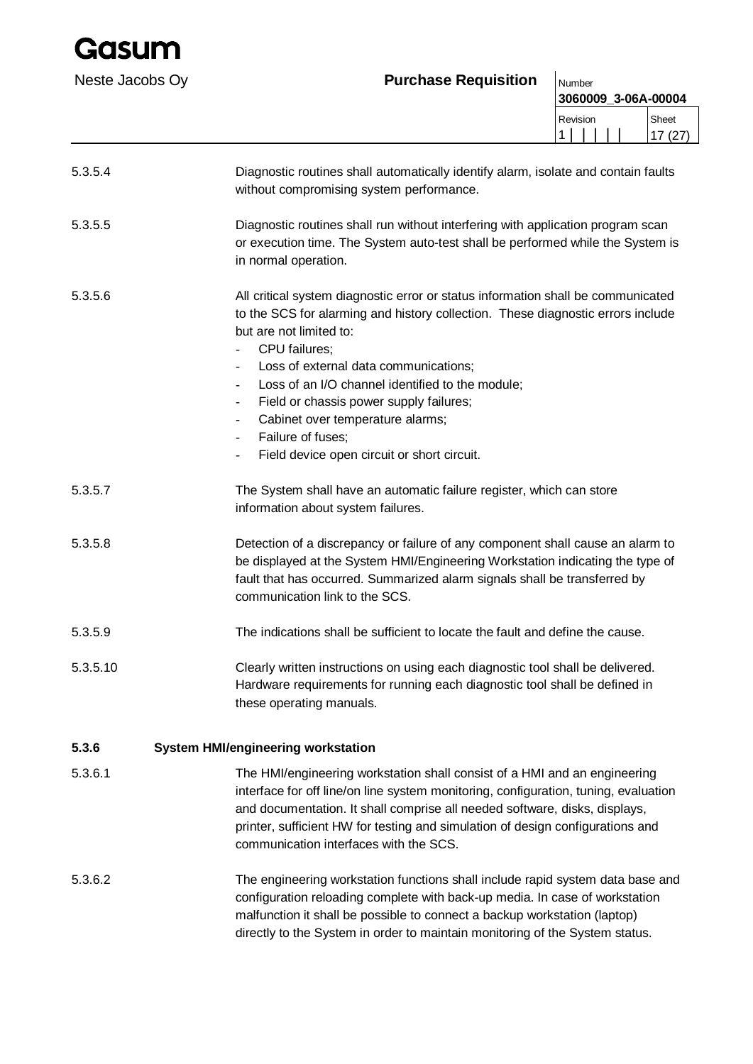| Gasum           |                                                                                                                                                                                                                                                                                                                                                                                                                                                                                                                                 |                               |  |  |                 |  |
|-----------------|---------------------------------------------------------------------------------------------------------------------------------------------------------------------------------------------------------------------------------------------------------------------------------------------------------------------------------------------------------------------------------------------------------------------------------------------------------------------------------------------------------------------------------|-------------------------------|--|--|-----------------|--|
| Neste Jacobs Oy | <b>Purchase Requisition</b>                                                                                                                                                                                                                                                                                                                                                                                                                                                                                                     | Number<br>3060009_3-06A-00004 |  |  |                 |  |
|                 |                                                                                                                                                                                                                                                                                                                                                                                                                                                                                                                                 | Revision<br>1 <sup>1</sup>    |  |  | Sheet<br>17(27) |  |
| 5.3.5.4         | Diagnostic routines shall automatically identify alarm, isolate and contain faults<br>without compromising system performance.                                                                                                                                                                                                                                                                                                                                                                                                  |                               |  |  |                 |  |
| 5.3.5.5         | Diagnostic routines shall run without interfering with application program scan<br>or execution time. The System auto-test shall be performed while the System is<br>in normal operation.                                                                                                                                                                                                                                                                                                                                       |                               |  |  |                 |  |
| 5.3.5.6         | All critical system diagnostic error or status information shall be communicated<br>to the SCS for alarming and history collection. These diagnostic errors include<br>but are not limited to:<br>CPU failures;<br>Loss of external data communications;<br>Loss of an I/O channel identified to the module;<br>$\overline{\phantom{a}}$<br>Field or chassis power supply failures;<br>$\blacksquare$<br>Cabinet over temperature alarms;<br>Failure of fuses;<br>Field device open circuit or short circuit.<br>$\blacksquare$ |                               |  |  |                 |  |
| 5.3.5.7         | The System shall have an automatic failure register, which can store<br>information about system failures.                                                                                                                                                                                                                                                                                                                                                                                                                      |                               |  |  |                 |  |
| 5.3.5.8         | Detection of a discrepancy or failure of any component shall cause an alarm to<br>be displayed at the System HMI/Engineering Workstation indicating the type of<br>fault that has occurred. Summarized alarm signals shall be transferred by<br>communication link to the SCS.                                                                                                                                                                                                                                                  |                               |  |  |                 |  |
| 5.3.5.9         | The indications shall be sufficient to locate the fault and define the cause.                                                                                                                                                                                                                                                                                                                                                                                                                                                   |                               |  |  |                 |  |
| 5.3.5.10        | Clearly written instructions on using each diagnostic tool shall be delivered.<br>Hardware requirements for running each diagnostic tool shall be defined in<br>these operating manuals.                                                                                                                                                                                                                                                                                                                                        |                               |  |  |                 |  |
| 5.3.6           | <b>System HMI/engineering workstation</b>                                                                                                                                                                                                                                                                                                                                                                                                                                                                                       |                               |  |  |                 |  |
| 5.3.6.1         | The HMI/engineering workstation shall consist of a HMI and an engineering<br>interface for off line/on line system monitoring, configuration, tuning, evaluation<br>and documentation. It shall comprise all needed software, disks, displays,<br>printer, sufficient HW for testing and simulation of design configurations and<br>communication interfaces with the SCS.                                                                                                                                                      |                               |  |  |                 |  |
| 5.3.6.2         | The engineering workstation functions shall include rapid system data base and<br>configuration reloading complete with back-up media. In case of workstation<br>malfunction it shall be possible to connect a backup workstation (laptop)<br>directly to the System in order to maintain monitoring of the System status.                                                                                                                                                                                                      |                               |  |  |                 |  |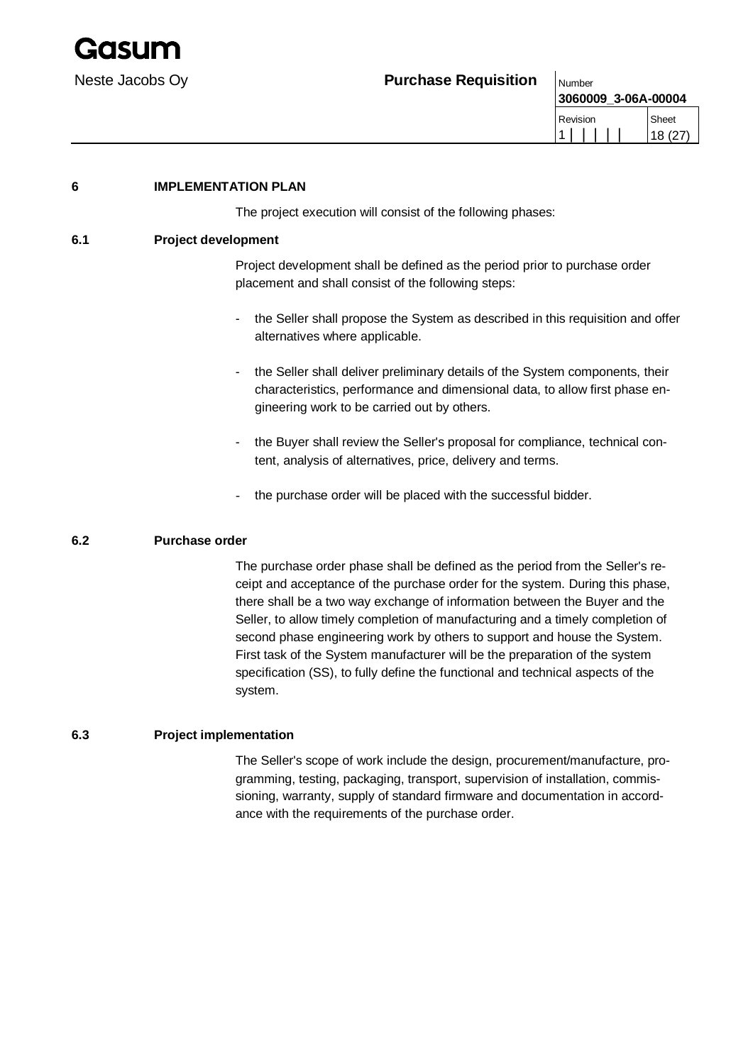

| 3060009 3-06A-00004 |         |
|---------------------|---------|
| Revision            | Sheet   |
|                     | 18 (27) |

## **6 IMPLEMENTATION PLAN**

The project execution will consist of the following phases:

#### **6.1 Project development**

Project development shall be defined as the period prior to purchase order placement and shall consist of the following steps:

- the Seller shall propose the System as described in this requisition and offer alternatives where applicable.
- the Seller shall deliver preliminary details of the System components, their characteristics, performance and dimensional data, to allow first phase engineering work to be carried out by others.
- the Buyer shall review the Seller's proposal for compliance, technical content, analysis of alternatives, price, delivery and terms.
- the purchase order will be placed with the successful bidder.

### **6.2 Purchase order**

The purchase order phase shall be defined as the period from the Seller's receipt and acceptance of the purchase order for the system. During this phase, there shall be a two way exchange of information between the Buyer and the Seller, to allow timely completion of manufacturing and a timely completion of second phase engineering work by others to support and house the System. First task of the System manufacturer will be the preparation of the system specification (SS), to fully define the functional and technical aspects of the system.

### **6.3 Project implementation**

The Seller's scope of work include the design, procurement/manufacture, programming, testing, packaging, transport, supervision of installation, commissioning, warranty, supply of standard firmware and documentation in accordance with the requirements of the purchase order.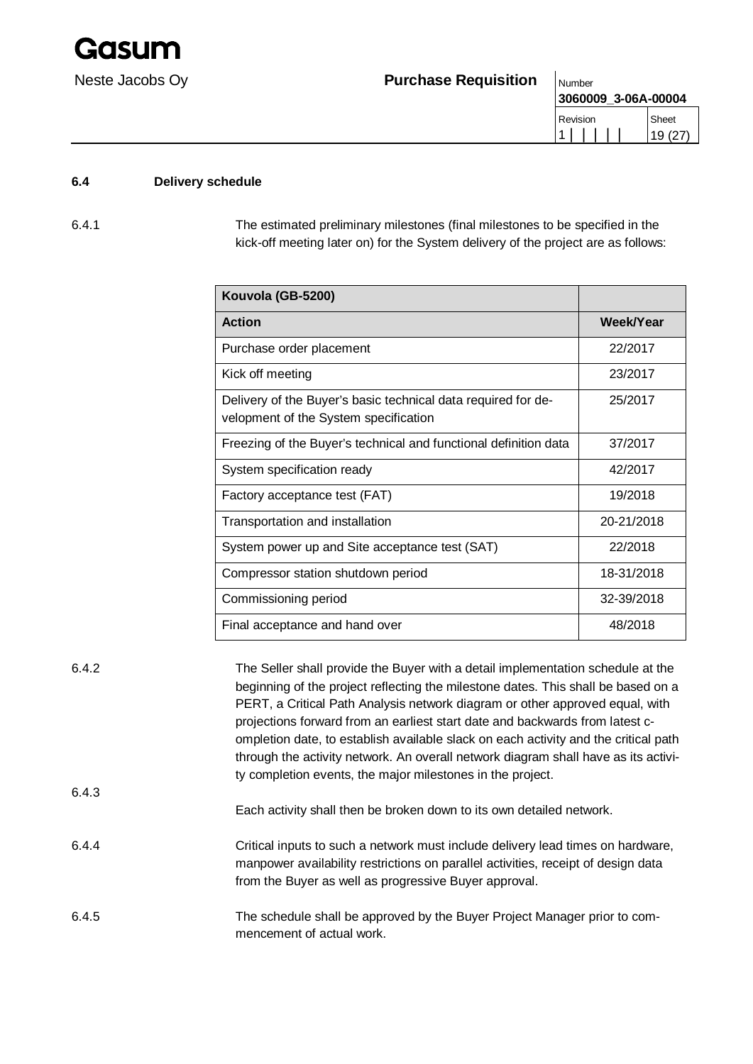

| <u>IVULLIUCI</u>    |        |
|---------------------|--------|
| 3060009 3-06A-00004 |        |
| Revision            | Sheet  |
|                     | 19(27) |

## **6.4 Delivery schedule**

6.4.1 The estimated preliminary milestones (final milestones to be specified in the kick-off meeting later on) for the System delivery of the project are as follows:

| Kouvola (GB-5200)                                                                                      |            |
|--------------------------------------------------------------------------------------------------------|------------|
| <b>Action</b>                                                                                          | Week/Year  |
| Purchase order placement                                                                               | 22/2017    |
| Kick off meeting                                                                                       | 23/2017    |
| Delivery of the Buyer's basic technical data required for de-<br>velopment of the System specification | 25/2017    |
| Freezing of the Buyer's technical and functional definition data                                       | 37/2017    |
| System specification ready                                                                             | 42/2017    |
| Factory acceptance test (FAT)                                                                          | 19/2018    |
| Transportation and installation                                                                        | 20-21/2018 |
| System power up and Site acceptance test (SAT)                                                         | 22/2018    |
| Compressor station shutdown period                                                                     | 18-31/2018 |
| Commissioning period                                                                                   | 32-39/2018 |
| Final acceptance and hand over                                                                         | 48/2018    |

| 6.4.2 | The Seller shall provide the Buyer with a detail implementation schedule at the<br>beginning of the project reflecting the milestone dates. This shall be based on a<br>PERT, a Critical Path Analysis network diagram or other approved equal, with<br>projections forward from an earliest start date and backwards from latest c- |
|-------|--------------------------------------------------------------------------------------------------------------------------------------------------------------------------------------------------------------------------------------------------------------------------------------------------------------------------------------|
|       | ompletion date, to establish available slack on each activity and the critical path<br>through the activity network. An overall network diagram shall have as its activi-<br>ty completion events, the major milestones in the project.                                                                                              |
| 6.4.3 | Each activity shall then be broken down to its own detailed network.                                                                                                                                                                                                                                                                 |
| 6.4.4 | Critical inputs to such a network must include delivery lead times on hardware,<br>manpower availability restrictions on parallel activities, receipt of design data<br>from the Buyer as well as progressive Buyer approval.                                                                                                        |
| 6.4.5 | The schedule shall be approved by the Buyer Project Manager prior to com-<br>mencement of actual work.                                                                                                                                                                                                                               |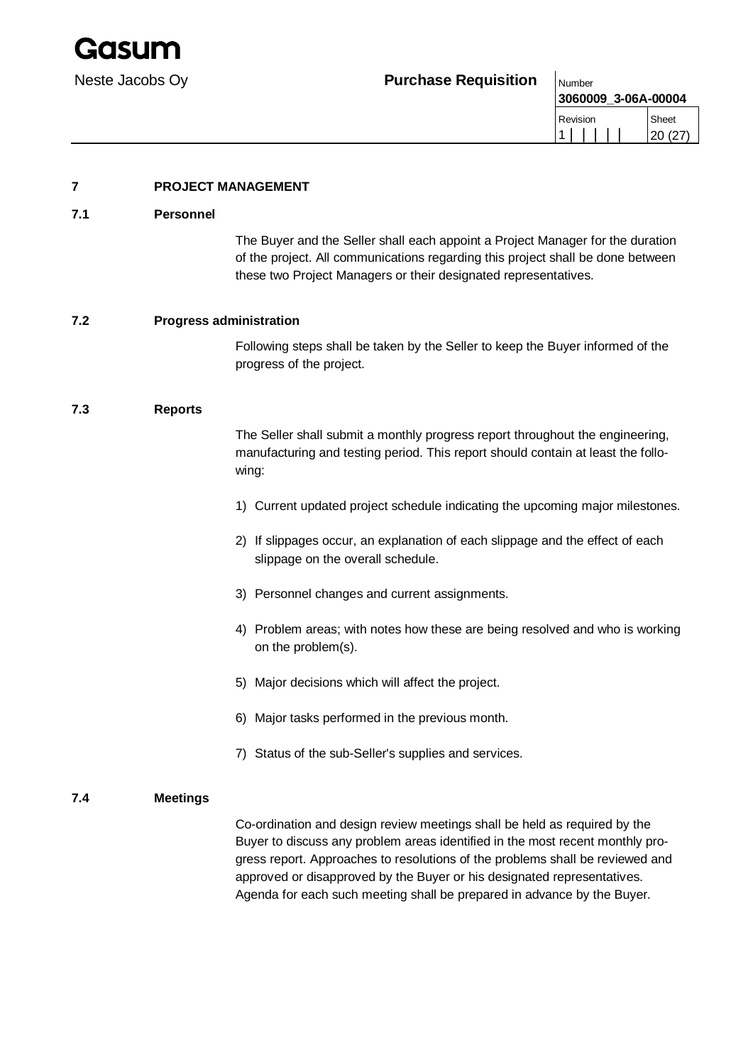**3060009\_3-06A-00004** Revision 1 | | | | | Sheet 20 (27)

## **7 PROJECT MANAGEMENT**

### **7.1 Personnel**

The Buyer and the Seller shall each appoint a Project Manager for the duration of the project. All communications regarding this project shall be done between these two Project Managers or their designated representatives.

## **7.2 Progress administration**

Following steps shall be taken by the Seller to keep the Buyer informed of the progress of the project.

## **7.3 Reports**

The Seller shall submit a monthly progress report throughout the engineering, manufacturing and testing period. This report should contain at least the following:

- 1) Current updated project schedule indicating the upcoming major milestones.
- 2) If slippages occur, an explanation of each slippage and the effect of each slippage on the overall schedule.
- 3) Personnel changes and current assignments.
- 4) Problem areas; with notes how these are being resolved and who is working on the problem(s).
- 5) Major decisions which will affect the project.
- 6) Major tasks performed in the previous month.
- 7) Status of the sub-Seller's supplies and services.

### **7.4 Meetings**

Co-ordination and design review meetings shall be held as required by the Buyer to discuss any problem areas identified in the most recent monthly progress report. Approaches to resolutions of the problems shall be reviewed and approved or disapproved by the Buyer or his designated representatives. Agenda for each such meeting shall be prepared in advance by the Buyer.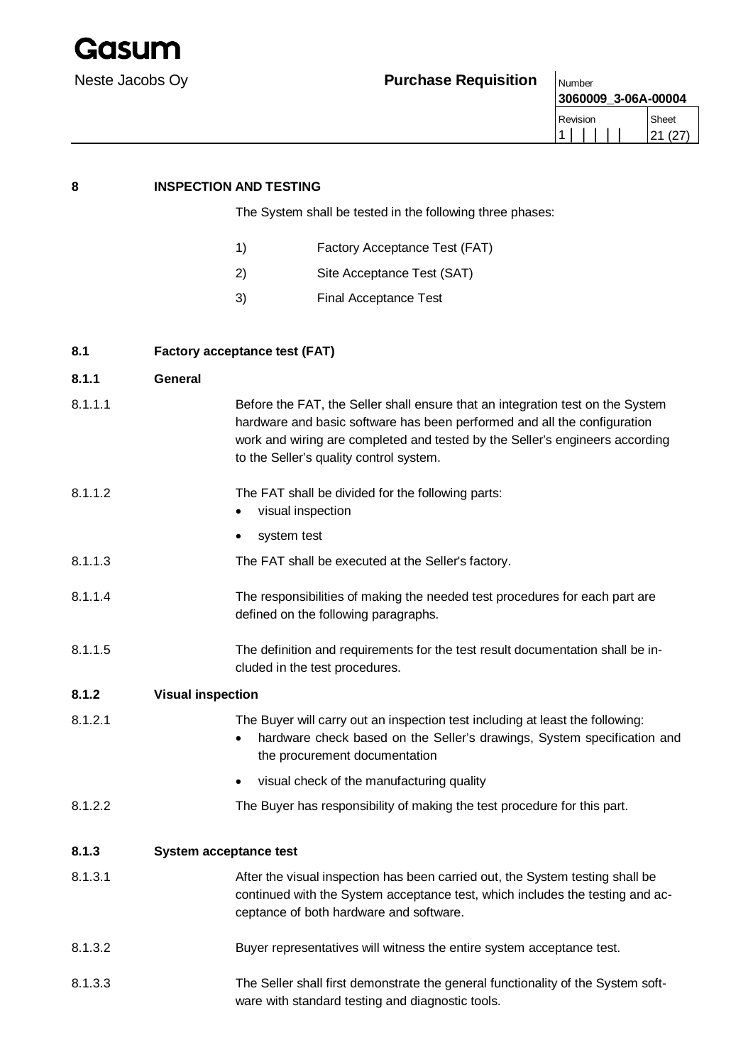

**3060009\_3-06A-00004** Revision 1 | | | | | Sheet 21 (27)

| 8       | <b>INSPECTION AND TESTING</b>                                                                                                                                                                                                                                                         |  |  |
|---------|---------------------------------------------------------------------------------------------------------------------------------------------------------------------------------------------------------------------------------------------------------------------------------------|--|--|
|         | The System shall be tested in the following three phases:                                                                                                                                                                                                                             |  |  |
|         | Factory Acceptance Test (FAT)<br>1)                                                                                                                                                                                                                                                   |  |  |
|         | 2)<br>Site Acceptance Test (SAT)                                                                                                                                                                                                                                                      |  |  |
|         | 3)<br><b>Final Acceptance Test</b>                                                                                                                                                                                                                                                    |  |  |
| 8.1     | <b>Factory acceptance test (FAT)</b>                                                                                                                                                                                                                                                  |  |  |
| 8.1.1   | <b>General</b>                                                                                                                                                                                                                                                                        |  |  |
| 8.1.1.1 | Before the FAT, the Seller shall ensure that an integration test on the System<br>hardware and basic software has been performed and all the configuration<br>work and wiring are completed and tested by the Seller's engineers according<br>to the Seller's quality control system. |  |  |
| 8.1.1.2 | The FAT shall be divided for the following parts:<br>visual inspection<br>٠                                                                                                                                                                                                           |  |  |
|         | system test<br>٠                                                                                                                                                                                                                                                                      |  |  |
| 8.1.1.3 | The FAT shall be executed at the Seller's factory.                                                                                                                                                                                                                                    |  |  |
| 8.1.1.4 | The responsibilities of making the needed test procedures for each part are<br>defined on the following paragraphs.                                                                                                                                                                   |  |  |
| 8.1.1.5 | The definition and requirements for the test result documentation shall be in-<br>cluded in the test procedures.                                                                                                                                                                      |  |  |
| 8.1.2   | <b>Visual inspection</b>                                                                                                                                                                                                                                                              |  |  |
| 8.1.2.1 | The Buyer will carry out an inspection test including at least the following:<br>hardware check based on the Seller's drawings, System specification and<br>$\bullet$<br>the procurement documentation                                                                                |  |  |
|         | visual check of the manufacturing quality                                                                                                                                                                                                                                             |  |  |
| 8.1.2.2 | The Buyer has responsibility of making the test procedure for this part.                                                                                                                                                                                                              |  |  |
| 8.1.3   | <b>System acceptance test</b>                                                                                                                                                                                                                                                         |  |  |
| 8.1.3.1 | After the visual inspection has been carried out, the System testing shall be<br>continued with the System acceptance test, which includes the testing and ac-<br>ceptance of both hardware and software.                                                                             |  |  |
| 8.1.3.2 | Buyer representatives will witness the entire system acceptance test.                                                                                                                                                                                                                 |  |  |
| 8.1.3.3 | The Seller shall first demonstrate the general functionality of the System soft-<br>ware with standard testing and diagnostic tools.                                                                                                                                                  |  |  |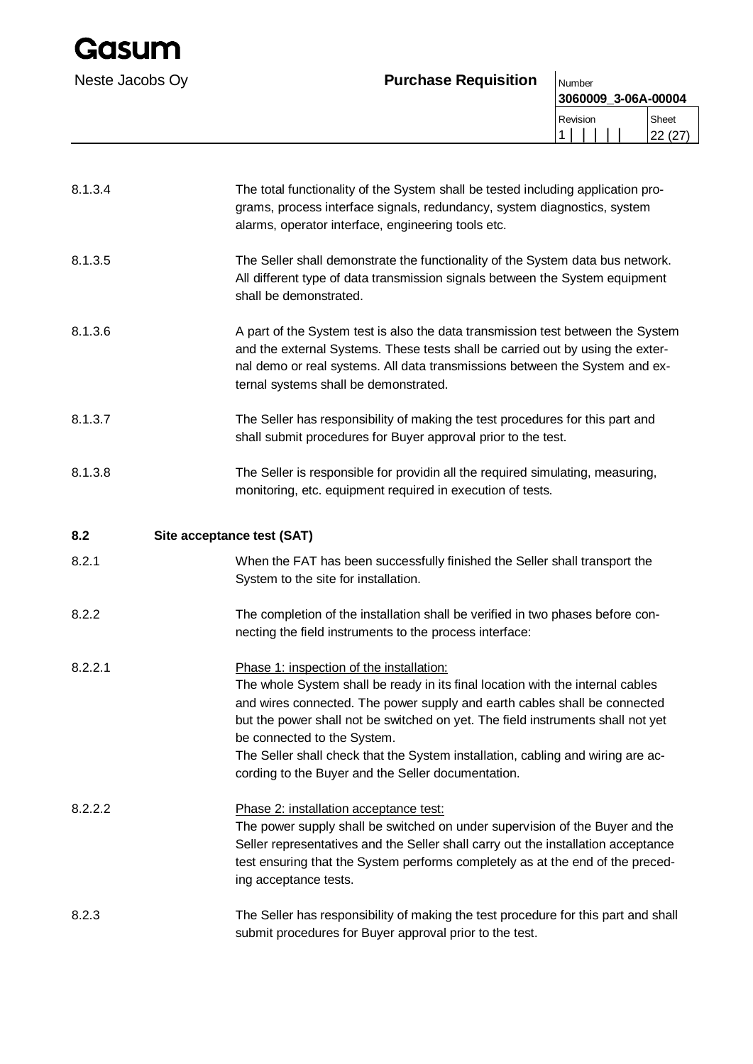| Gasum           |                             |                               |                 |
|-----------------|-----------------------------|-------------------------------|-----------------|
| Neste Jacobs Oy | <b>Purchase Requisition</b> | Number<br>3060009_3-06A-00004 |                 |
|                 |                             | Revision                      | Sheet<br>22(27) |

| 8.1.3.4 | The total functionality of the System shall be tested including application pro-<br>grams, process interface signals, redundancy, system diagnostics, system<br>alarms, operator interface, engineering tools etc.                                                                                                                                                                                                                                                 |
|---------|--------------------------------------------------------------------------------------------------------------------------------------------------------------------------------------------------------------------------------------------------------------------------------------------------------------------------------------------------------------------------------------------------------------------------------------------------------------------|
| 8.1.3.5 | The Seller shall demonstrate the functionality of the System data bus network.<br>All different type of data transmission signals between the System equipment<br>shall be demonstrated.                                                                                                                                                                                                                                                                           |
| 8.1.3.6 | A part of the System test is also the data transmission test between the System<br>and the external Systems. These tests shall be carried out by using the exter-<br>nal demo or real systems. All data transmissions between the System and ex-<br>ternal systems shall be demonstrated.                                                                                                                                                                          |
| 8.1.3.7 | The Seller has responsibility of making the test procedures for this part and<br>shall submit procedures for Buyer approval prior to the test.                                                                                                                                                                                                                                                                                                                     |
| 8.1.3.8 | The Seller is responsible for providin all the required simulating, measuring,<br>monitoring, etc. equipment required in execution of tests.                                                                                                                                                                                                                                                                                                                       |
| 8.2     | Site acceptance test (SAT)                                                                                                                                                                                                                                                                                                                                                                                                                                         |
| 8.2.1   | When the FAT has been successfully finished the Seller shall transport the<br>System to the site for installation.                                                                                                                                                                                                                                                                                                                                                 |
| 8.2.2   | The completion of the installation shall be verified in two phases before con-<br>necting the field instruments to the process interface:                                                                                                                                                                                                                                                                                                                          |
| 8.2.2.1 | Phase 1: inspection of the installation:<br>The whole System shall be ready in its final location with the internal cables<br>and wires connected. The power supply and earth cables shall be connected<br>but the power shall not be switched on yet. The field instruments shall not yet<br>be connected to the System.<br>The Seller shall check that the System installation, cabling and wiring are ac-<br>cording to the Buyer and the Seller documentation. |
| 8.2.2.2 | Phase 2: installation acceptance test:<br>The power supply shall be switched on under supervision of the Buyer and the<br>Seller representatives and the Seller shall carry out the installation acceptance<br>test ensuring that the System performs completely as at the end of the preced-<br>ing acceptance tests.                                                                                                                                             |
| 8.2.3   | The Seller has responsibility of making the test procedure for this part and shall<br>submit procedures for Buyer approval prior to the test.                                                                                                                                                                                                                                                                                                                      |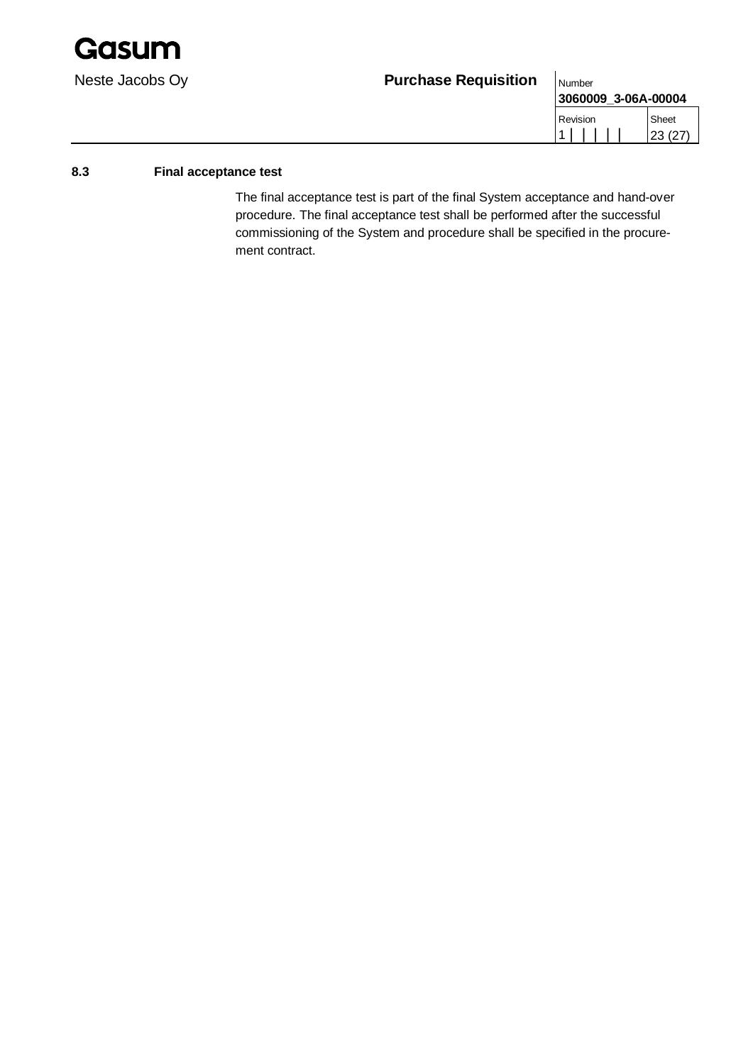

| .                   |        |
|---------------------|--------|
| 3060009 3-06A-00004 |        |
| Revision            | Sheet  |
|                     | 23(27) |

### **8.3 Final acceptance test**

The final acceptance test is part of the final System acceptance and hand-over procedure. The final acceptance test shall be performed after the successful commissioning of the System and procedure shall be specified in the procurement contract.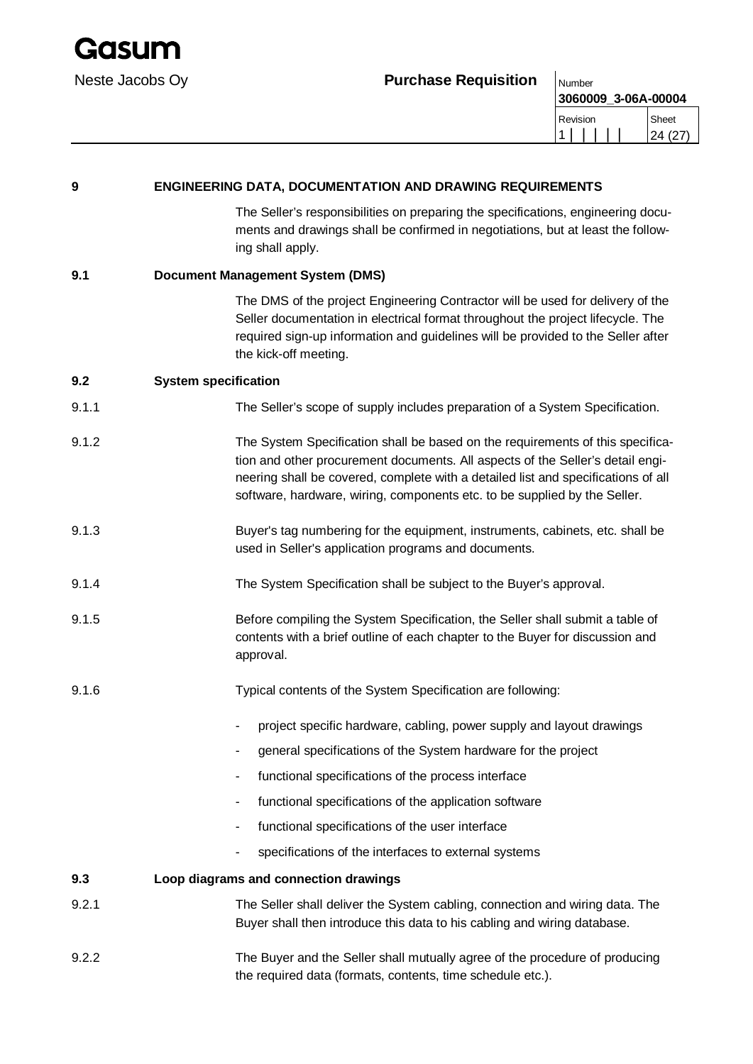

**3060009\_3-06A-00004** Revision 1 | | | | | Sheet 24 (27)

| 9     | <b>ENGINEERING DATA, DOCUMENTATION AND DRAWING REQUIREMENTS</b> |                                                                                                                                                                                                                                                                                                                                    |  |  |
|-------|-----------------------------------------------------------------|------------------------------------------------------------------------------------------------------------------------------------------------------------------------------------------------------------------------------------------------------------------------------------------------------------------------------------|--|--|
|       |                                                                 | The Seller's responsibilities on preparing the specifications, engineering docu-<br>ments and drawings shall be confirmed in negotiations, but at least the follow-<br>ing shall apply.                                                                                                                                            |  |  |
| 9.1   |                                                                 | <b>Document Management System (DMS)</b>                                                                                                                                                                                                                                                                                            |  |  |
|       |                                                                 | The DMS of the project Engineering Contractor will be used for delivery of the<br>Seller documentation in electrical format throughout the project lifecycle. The<br>required sign-up information and guidelines will be provided to the Seller after<br>the kick-off meeting.                                                     |  |  |
| 9.2   | <b>System specification</b>                                     |                                                                                                                                                                                                                                                                                                                                    |  |  |
| 9.1.1 |                                                                 | The Seller's scope of supply includes preparation of a System Specification.                                                                                                                                                                                                                                                       |  |  |
| 9.1.2 |                                                                 | The System Specification shall be based on the requirements of this specifica-<br>tion and other procurement documents. All aspects of the Seller's detail engi-<br>neering shall be covered, complete with a detailed list and specifications of all<br>software, hardware, wiring, components etc. to be supplied by the Seller. |  |  |
| 9.1.3 |                                                                 | Buyer's tag numbering for the equipment, instruments, cabinets, etc. shall be<br>used in Seller's application programs and documents.                                                                                                                                                                                              |  |  |
| 9.1.4 |                                                                 | The System Specification shall be subject to the Buyer's approval.                                                                                                                                                                                                                                                                 |  |  |
| 9.1.5 |                                                                 | Before compiling the System Specification, the Seller shall submit a table of<br>contents with a brief outline of each chapter to the Buyer for discussion and<br>approval.                                                                                                                                                        |  |  |
| 9.1.6 |                                                                 | Typical contents of the System Specification are following:                                                                                                                                                                                                                                                                        |  |  |
|       |                                                                 | project specific hardware, cabling, power supply and layout drawings                                                                                                                                                                                                                                                               |  |  |
|       |                                                                 | general specifications of the System hardware for the project                                                                                                                                                                                                                                                                      |  |  |
|       |                                                                 | functional specifications of the process interface                                                                                                                                                                                                                                                                                 |  |  |
|       |                                                                 | functional specifications of the application software                                                                                                                                                                                                                                                                              |  |  |
|       |                                                                 | functional specifications of the user interface                                                                                                                                                                                                                                                                                    |  |  |
|       |                                                                 | specifications of the interfaces to external systems                                                                                                                                                                                                                                                                               |  |  |
| 9.3   | Loop diagrams and connection drawings                           |                                                                                                                                                                                                                                                                                                                                    |  |  |
| 9.2.1 |                                                                 | The Seller shall deliver the System cabling, connection and wiring data. The<br>Buyer shall then introduce this data to his cabling and wiring database.                                                                                                                                                                           |  |  |
| 9.2.2 |                                                                 | The Buyer and the Seller shall mutually agree of the procedure of producing<br>the required data (formats, contents, time schedule etc.).                                                                                                                                                                                          |  |  |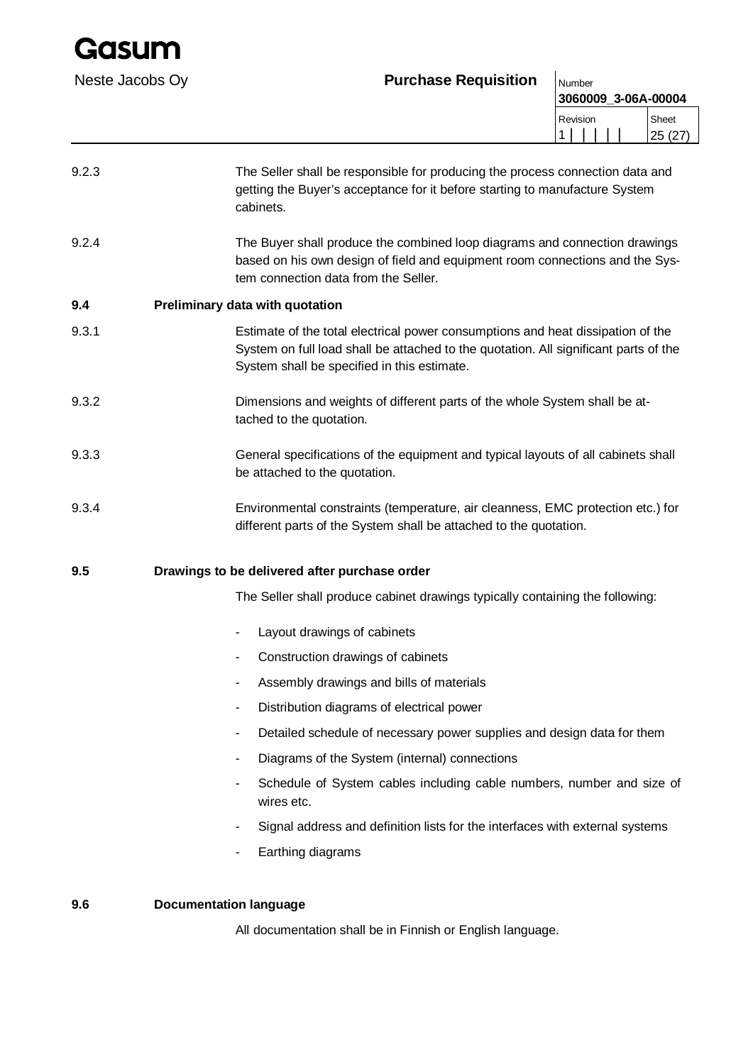## Neste Jacobs Oy **Purchase Requisition** Number

|   | 3060009_3-06A-00004 |  |  |  |                            |
|---|---------------------|--|--|--|----------------------------|
| 1 | Revision            |  |  |  | Sheet<br>107<br>25<br>14 I |
|   |                     |  |  |  |                            |

| 9.2.3 | The Seller shall be responsible for producing the process connection data and<br>getting the Buyer's acceptance for it before starting to manufacture System<br>cabinets.                                              |
|-------|------------------------------------------------------------------------------------------------------------------------------------------------------------------------------------------------------------------------|
| 9.2.4 | The Buyer shall produce the combined loop diagrams and connection drawings<br>based on his own design of field and equipment room connections and the Sys-<br>tem connection data from the Seller.                     |
| 9.4   | Preliminary data with quotation                                                                                                                                                                                        |
| 9.3.1 | Estimate of the total electrical power consumptions and heat dissipation of the<br>System on full load shall be attached to the quotation. All significant parts of the<br>System shall be specified in this estimate. |
| 9.3.2 | Dimensions and weights of different parts of the whole System shall be at-<br>tached to the quotation.                                                                                                                 |
| 9.3.3 | General specifications of the equipment and typical layouts of all cabinets shall<br>be attached to the quotation.                                                                                                     |
| 9.3.4 | Environmental constraints (temperature, air cleanness, EMC protection etc.) for<br>different parts of the System shall be attached to the quotation.                                                                   |
| 9.5   | Drawings to be delivered after purchase order                                                                                                                                                                          |
|       | The Seller shall produce cabinet drawings typically containing the following:                                                                                                                                          |
|       | Layout drawings of cabinets                                                                                                                                                                                            |

- Construction drawings of cabinets
- Assembly drawings and bills of materials
- Distribution diagrams of electrical power
- Detailed schedule of necessary power supplies and design data for them
- Diagrams of the System (internal) connections
- Schedule of System cables including cable numbers, number and size of wires etc.
- Signal address and definition lists for the interfaces with external systems
- Earthing diagrams

### **9.6 Documentation language**

All documentation shall be in Finnish or English language.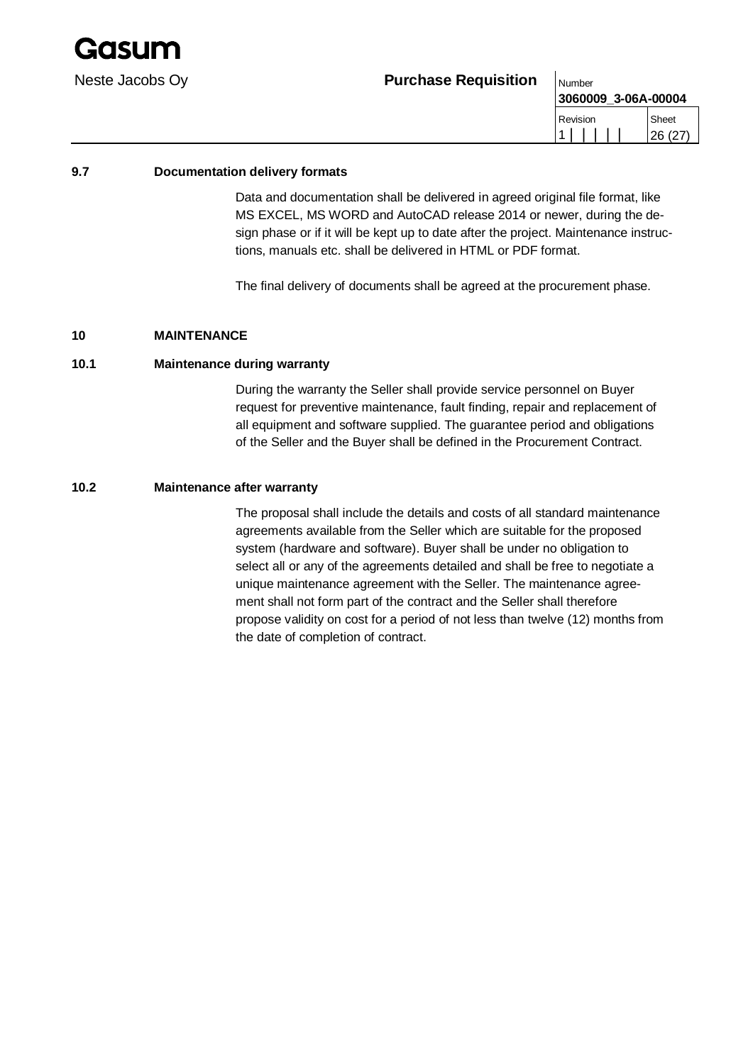

**3060009\_3-06A-00004** Revision 1 | | | | | Sheet 26 (27)

#### **9.7 Documentation delivery formats**

Data and documentation shall be delivered in agreed original file format, like MS EXCEL, MS WORD and AutoCAD release 2014 or newer, during the design phase or if it will be kept up to date after the project. Maintenance instructions, manuals etc. shall be delivered in HTML or PDF format.

The final delivery of documents shall be agreed at the procurement phase.

#### **10 MAINTENANCE**

#### **10.1 Maintenance during warranty**

During the warranty the Seller shall provide service personnel on Buyer request for preventive maintenance, fault finding, repair and replacement of all equipment and software supplied. The guarantee period and obligations of the Seller and the Buyer shall be defined in the Procurement Contract.

#### **10.2 Maintenance after warranty**

The proposal shall include the details and costs of all standard maintenance agreements available from the Seller which are suitable for the proposed system (hardware and software). Buyer shall be under no obligation to select all or any of the agreements detailed and shall be free to negotiate a unique maintenance agreement with the Seller. The maintenance agreement shall not form part of the contract and the Seller shall therefore propose validity on cost for a period of not less than twelve (12) months from the date of completion of contract.